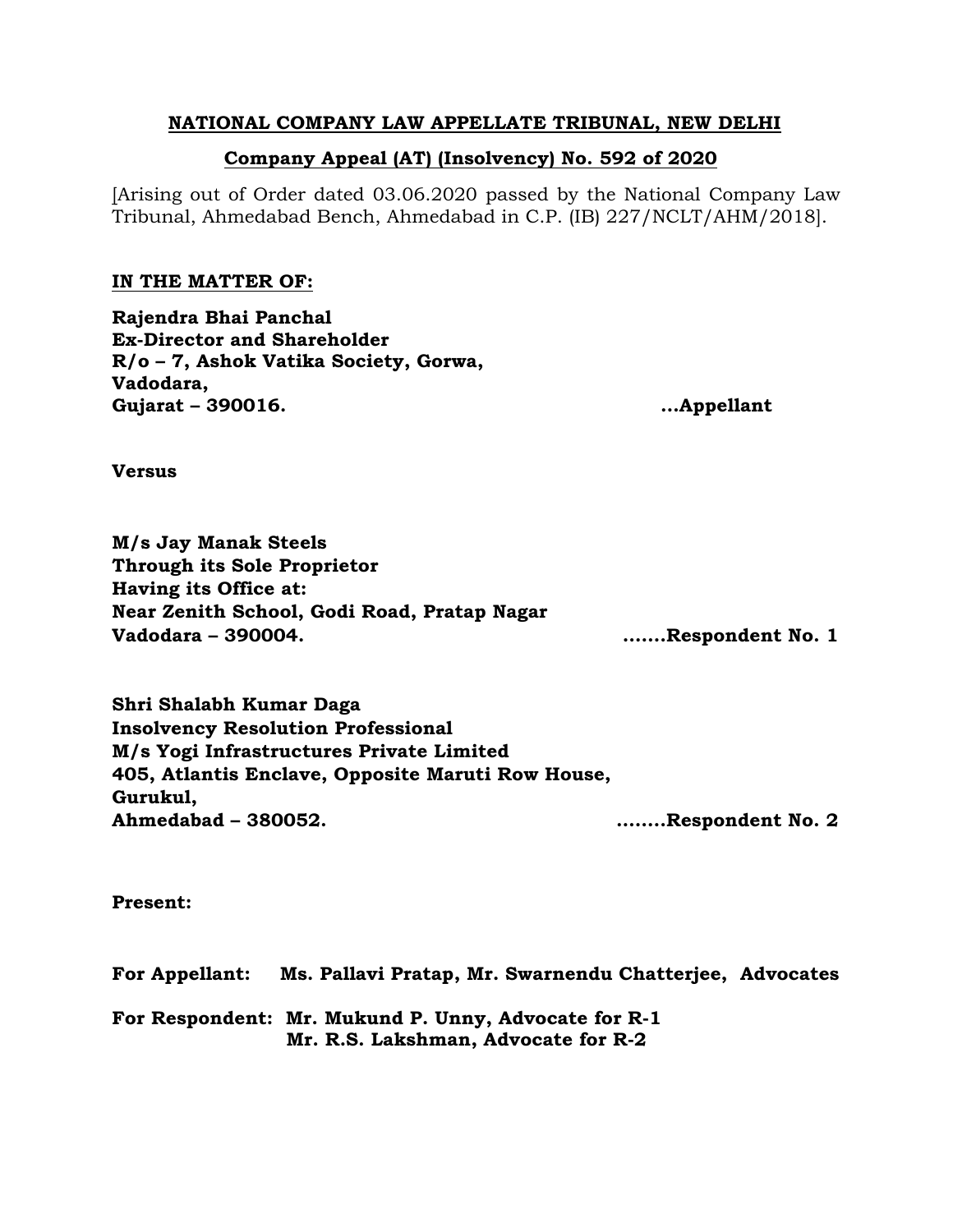## **NATIONAL COMPANY LAW APPELLATE TRIBUNAL, NEW DELHI**

# **Company Appeal (AT) (Insolvency) No. 592 of 2020**

[Arising out of Order dated 03.06.2020 passed by the National Company Law Tribunal, Ahmedabad Bench, Ahmedabad in C.P. (IB) 227/NCLT/AHM/2018].

## **IN THE MATTER OF:**

**Rajendra Bhai Panchal Ex-Director and Shareholder R/o – 7, Ashok Vatika Society, Gorwa, Vadodara, Gujarat – 390016. …Appellant** 

**Versus**

**M/s Jay Manak Steels Through its Sole Proprietor Having its Office at: Near Zenith School, Godi Road, Pratap Nagar Vadodara – 390004. …….Respondent No. 1**

**Shri Shalabh Kumar Daga Insolvency Resolution Professional M/s Yogi Infrastructures Private Limited 405, Atlantis Enclave, Opposite Maruti Row House, Gurukul, Ahmedabad – 380052. ……..Respondent No. 2**

**Present:** 

**For Appellant: Ms. Pallavi Pratap, Mr. Swarnendu Chatterjee, Advocates For Respondent: Mr. Mukund P. Unny, Advocate for R-1 Mr. R.S. Lakshman, Advocate for R-2**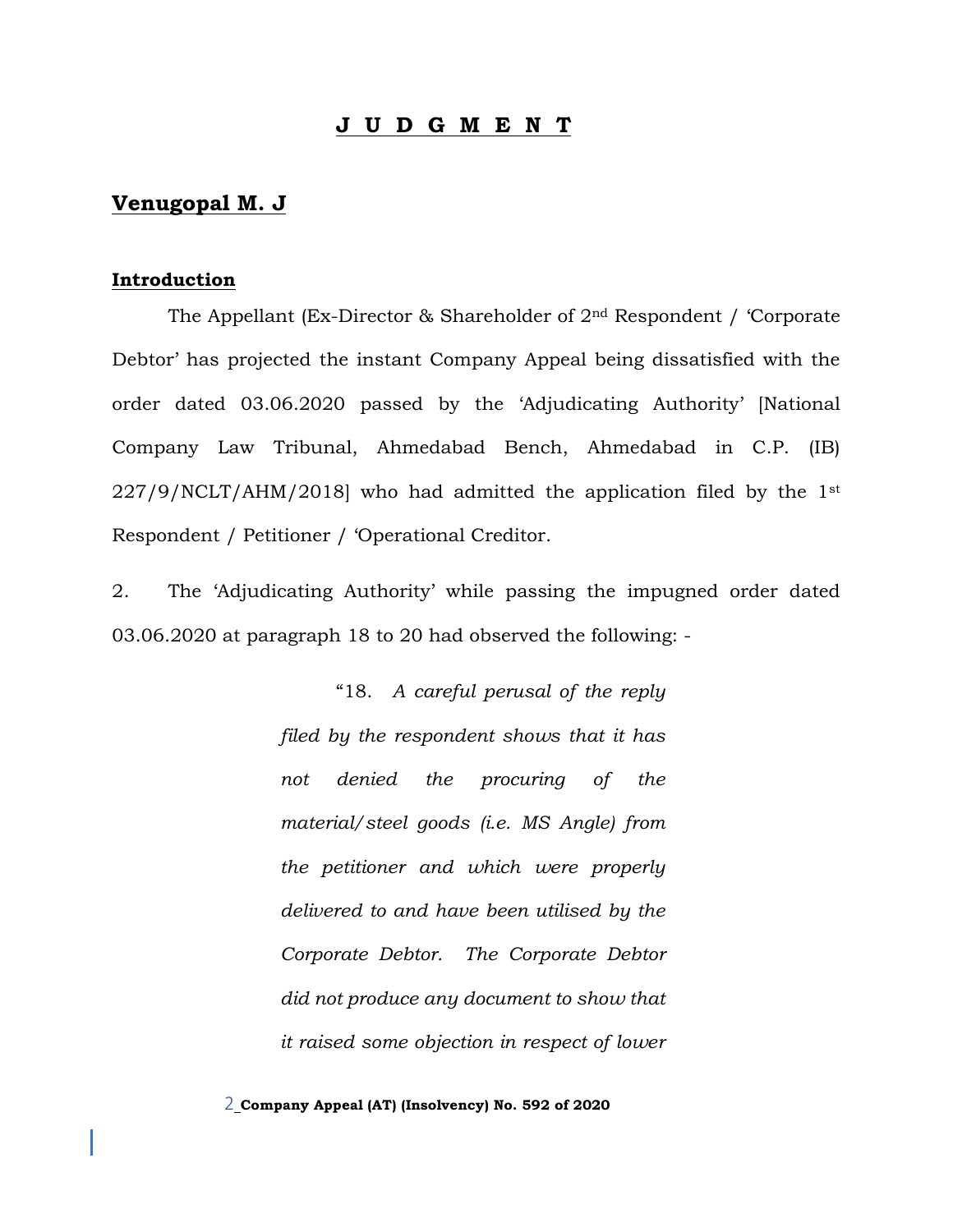### **J U D G M E N T**

### **Venugopal M. J**

#### **Introduction**

The Appellant (Ex-Director & Shareholder of 2nd Respondent / 'Corporate Debtor' has projected the instant Company Appeal being dissatisfied with the order dated 03.06.2020 passed by the 'Adjudicating Authority' [National Company Law Tribunal, Ahmedabad Bench, Ahmedabad in C.P. (IB)  $227/9/NCLT/AHM/2018$ ] who had admitted the application filed by the 1st Respondent / Petitioner / 'Operational Creditor.

2. The 'Adjudicating Authority' while passing the impugned order dated 03.06.2020 at paragraph 18 to 20 had observed the following: -

> "18. *A careful perusal of the reply filed by the respondent shows that it has not denied the procuring of the material/steel goods (i.e. MS Angle) from the petitioner and which were properly delivered to and have been utilised by the Corporate Debtor. The Corporate Debtor did not produce any document to show that it raised some objection in respect of lower*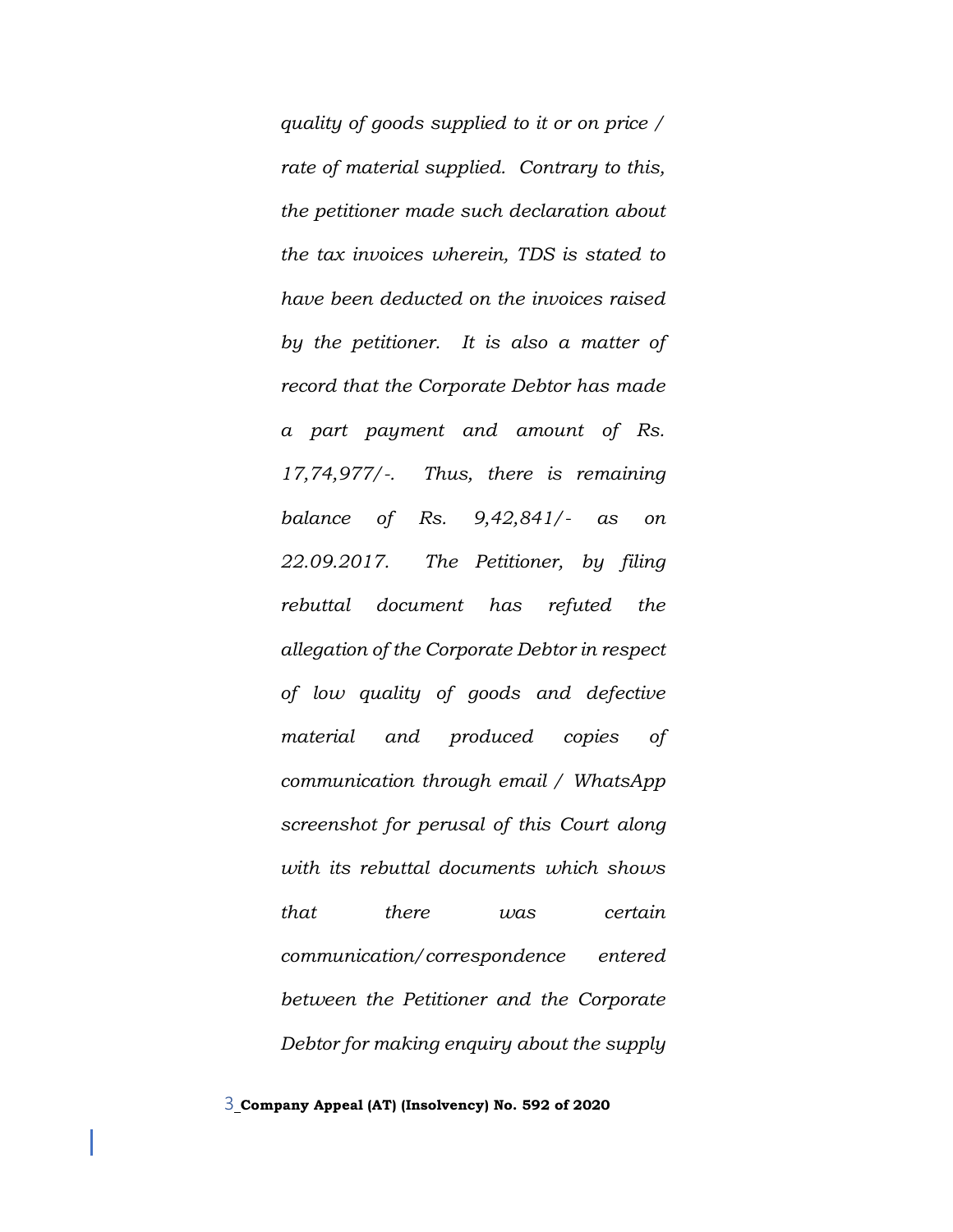*quality of goods supplied to it or on price / rate of material supplied. Contrary to this, the petitioner made such declaration about the tax invoices wherein, TDS is stated to have been deducted on the invoices raised by the petitioner. It is also a matter of record that the Corporate Debtor has made a part payment and amount of Rs. 17,74,977/-. Thus, there is remaining balance of Rs. 9,42,841/- as on 22.09.2017. The Petitioner, by filing rebuttal document has refuted the allegation of the Corporate Debtor in respect of low quality of goods and defective material and produced copies of communication through email / WhatsApp screenshot for perusal of this Court along with its rebuttal documents which shows that there was certain communication/correspondence entered between the Petitioner and the Corporate Debtor for making enquiry about the supply*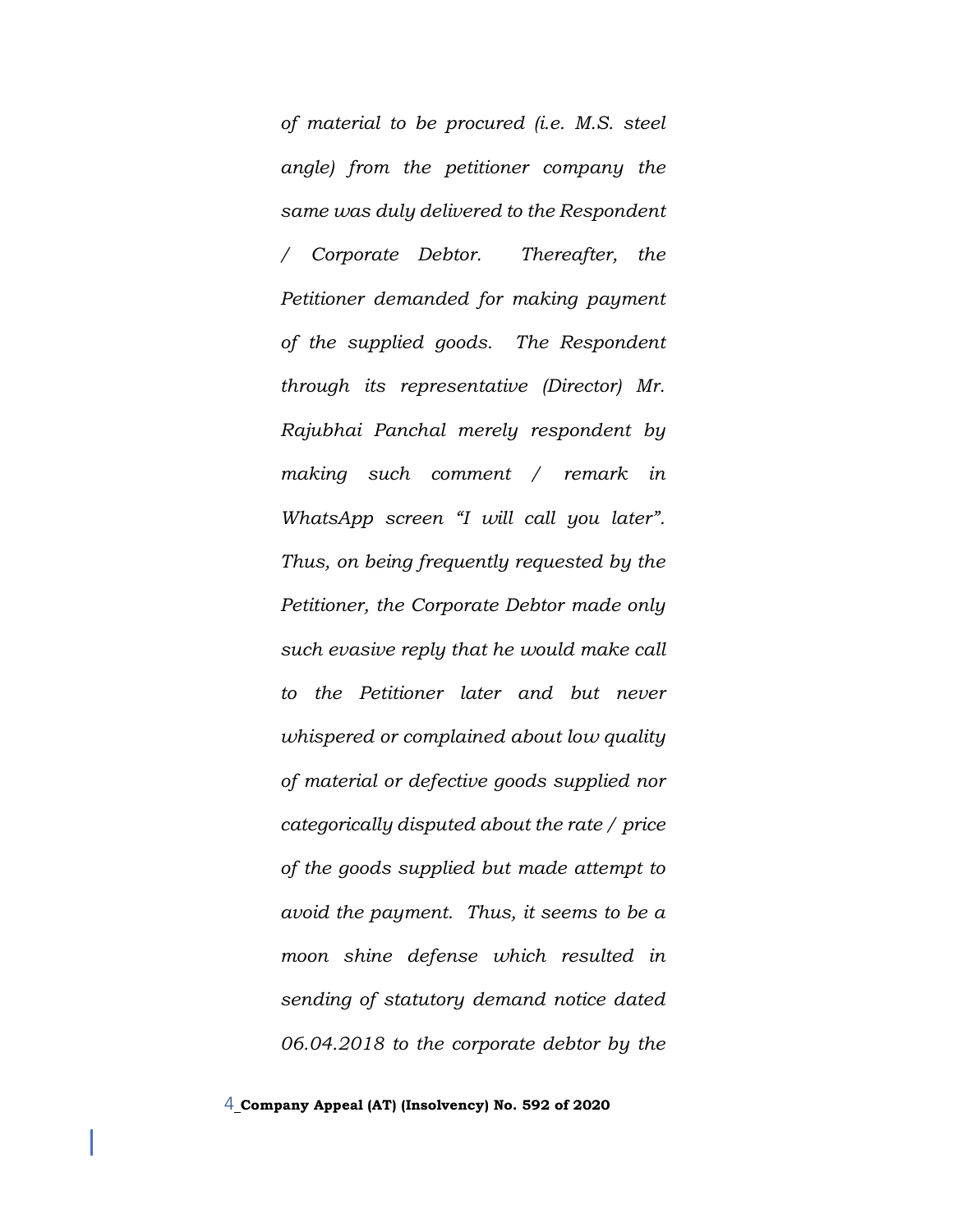*of material to be procured (i.e. M.S. steel angle) from the petitioner company the same was duly delivered to the Respondent / Corporate Debtor. Thereafter, the Petitioner demanded for making payment of the supplied goods. The Respondent through its representative (Director) Mr. Rajubhai Panchal merely respondent by making such comment / remark in WhatsApp screen "I will call you later". Thus, on being frequently requested by the Petitioner, the Corporate Debtor made only such evasive reply that he would make call to the Petitioner later and but never whispered or complained about low quality of material or defective goods supplied nor categorically disputed about the rate / price of the goods supplied but made attempt to avoid the payment. Thus, it seems to be a moon shine defense which resulted in sending of statutory demand notice dated 06.04.2018 to the corporate debtor by the*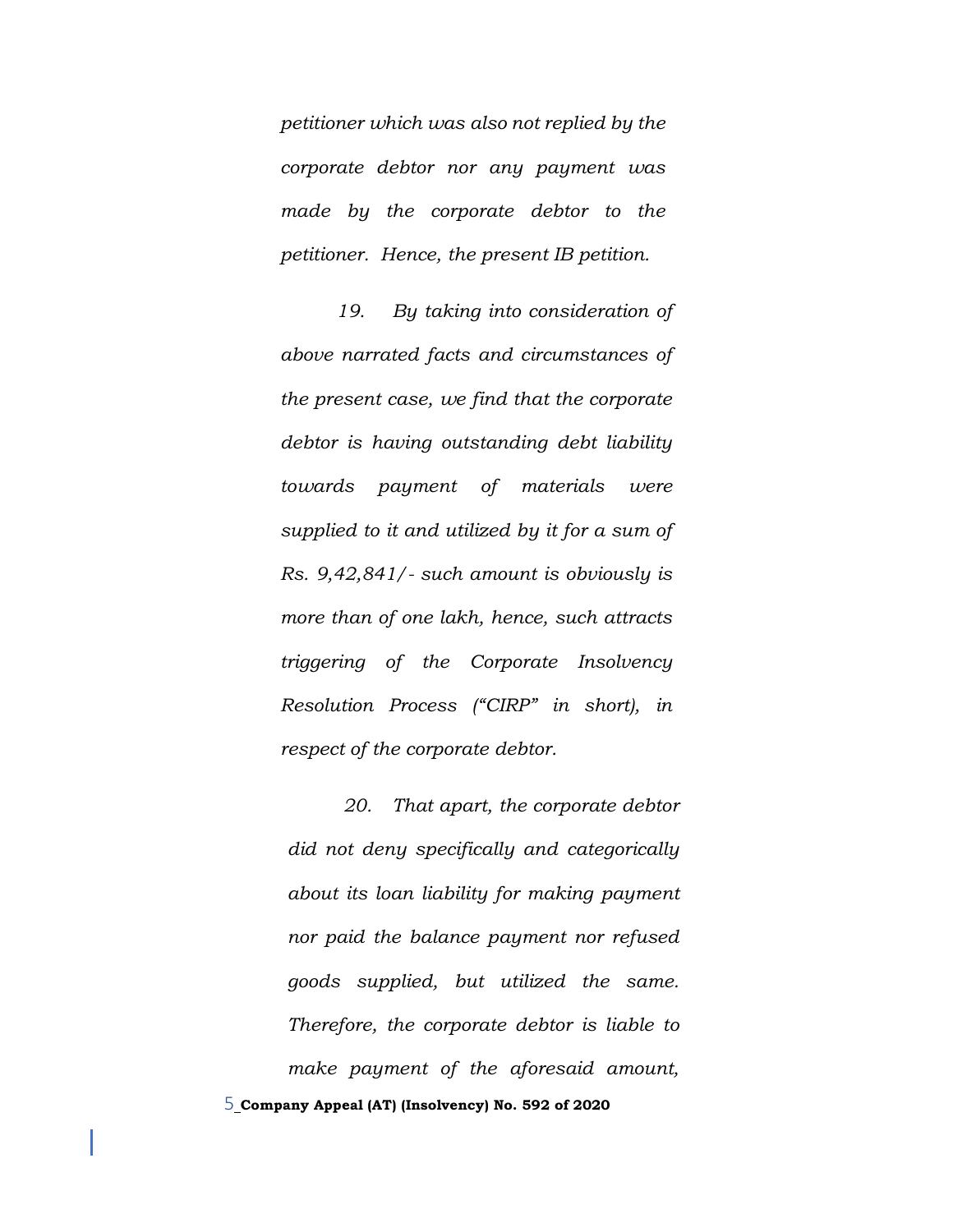*petitioner which was also not replied by the corporate debtor nor any payment was made by the corporate debtor to the petitioner. Hence, the present IB petition.* 

*19. By taking into consideration of above narrated facts and circumstances of the present case, we find that the corporate debtor is having outstanding debt liability towards payment of materials were supplied to it and utilized by it for a sum of Rs. 9,42,841/- such amount is obviously is more than of one lakh, hence, such attracts triggering of the Corporate Insolvency Resolution Process ("CIRP" in short), in respect of the corporate debtor.*

5 **Company Appeal (AT) (Insolvency) No. 592 of 2020** *20. That apart, the corporate debtor did not deny specifically and categorically about its loan liability for making payment nor paid the balance payment nor refused goods supplied, but utilized the same. Therefore, the corporate debtor is liable to make payment of the aforesaid amount,*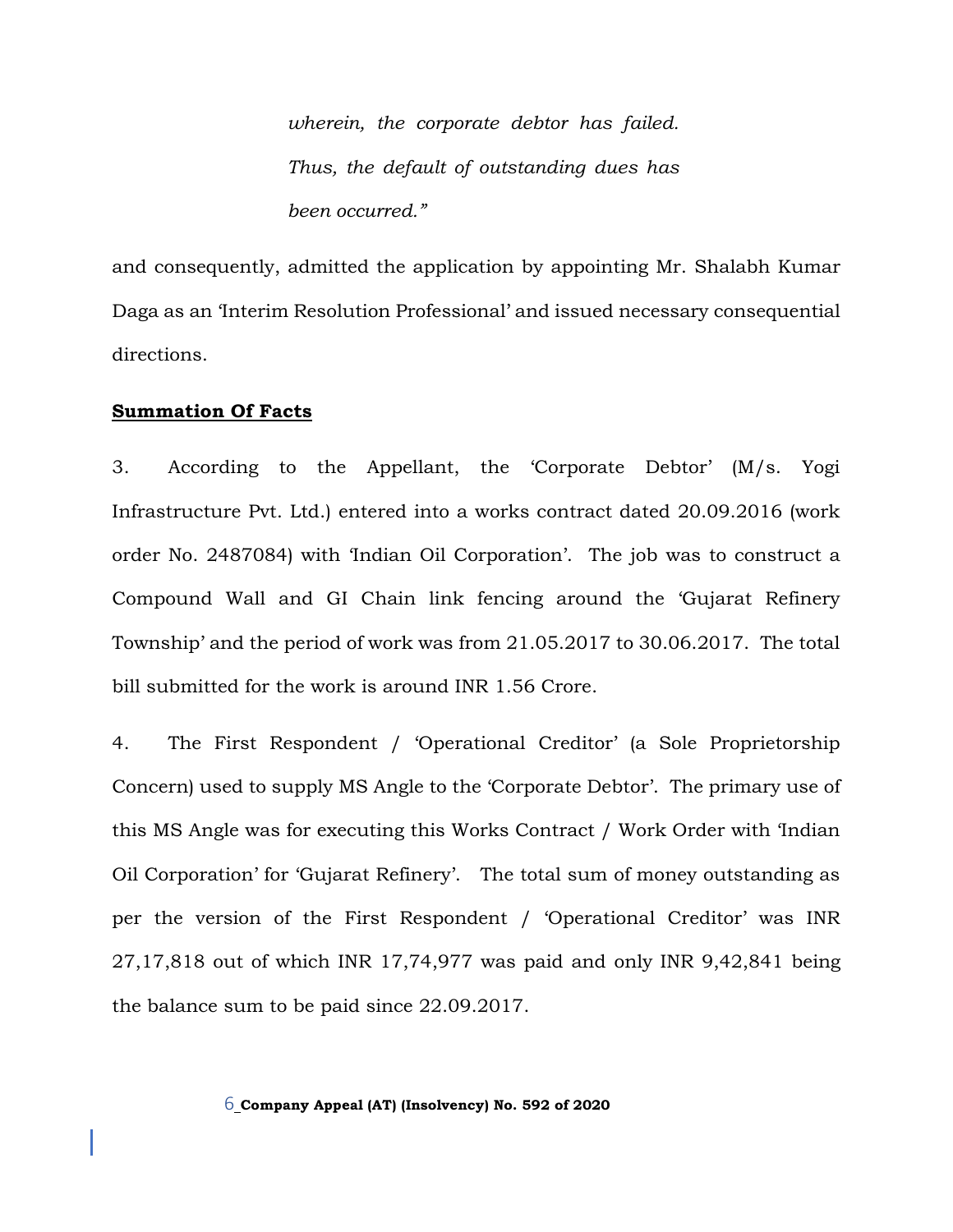*wherein, the corporate debtor has failed. Thus, the default of outstanding dues has been occurred."*

and consequently, admitted the application by appointing Mr. Shalabh Kumar Daga as an 'Interim Resolution Professional' and issued necessary consequential directions.

#### **Summation Of Facts**

3. According to the Appellant, the 'Corporate Debtor' (M/s. Yogi Infrastructure Pvt. Ltd.) entered into a works contract dated 20.09.2016 (work order No. 2487084) with 'Indian Oil Corporation'. The job was to construct a Compound Wall and GI Chain link fencing around the 'Gujarat Refinery Township' and the period of work was from 21.05.2017 to 30.06.2017. The total bill submitted for the work is around INR 1.56 Crore.

4. The First Respondent / 'Operational Creditor' (a Sole Proprietorship Concern) used to supply MS Angle to the 'Corporate Debtor'. The primary use of this MS Angle was for executing this Works Contract / Work Order with 'Indian Oil Corporation' for 'Gujarat Refinery'. The total sum of money outstanding as per the version of the First Respondent / 'Operational Creditor' was INR 27,17,818 out of which INR 17,74,977 was paid and only INR 9,42,841 being the balance sum to be paid since 22.09.2017.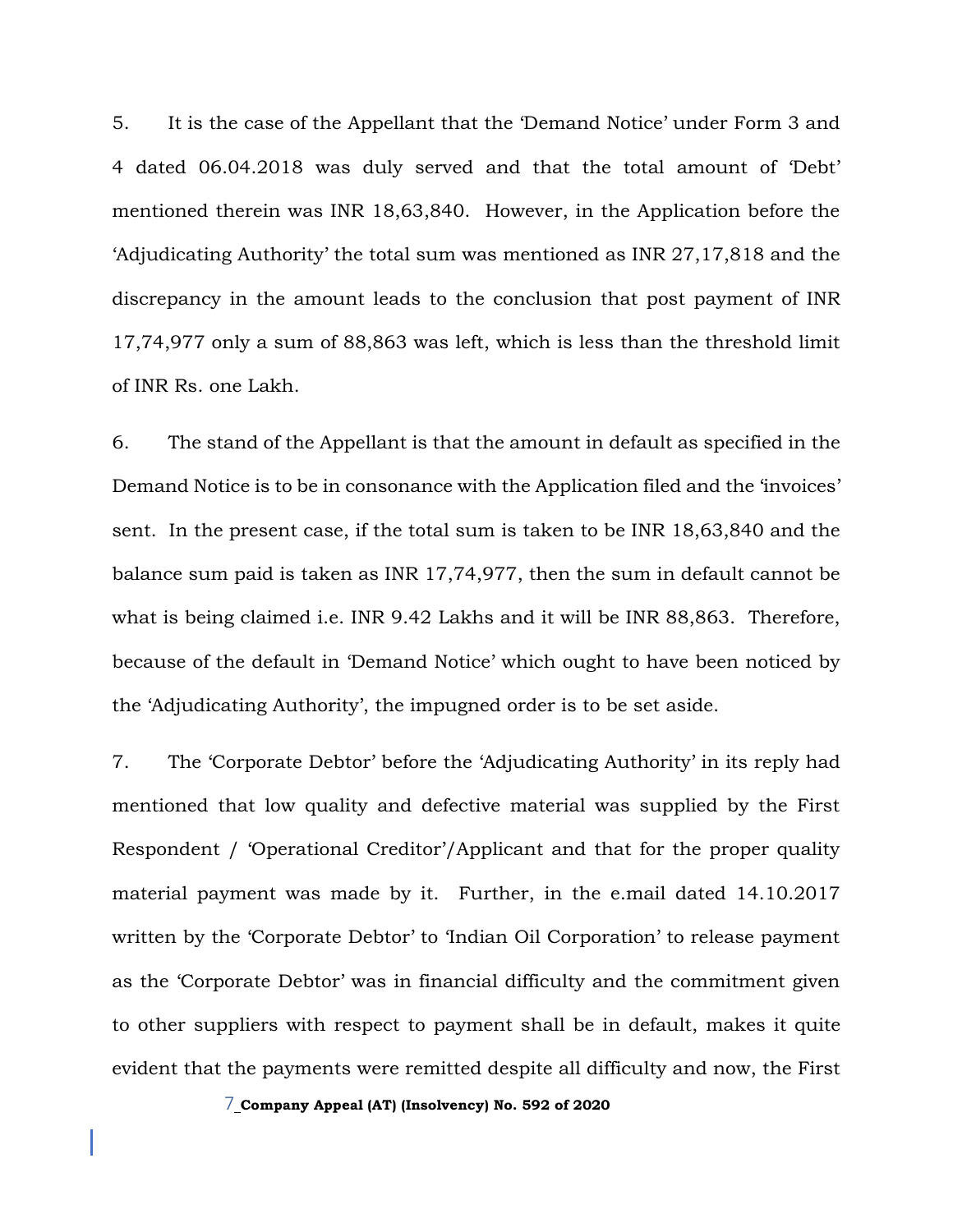5. It is the case of the Appellant that the 'Demand Notice' under Form 3 and 4 dated 06.04.2018 was duly served and that the total amount of 'Debt' mentioned therein was INR 18,63,840. However, in the Application before the 'Adjudicating Authority' the total sum was mentioned as INR 27,17,818 and the discrepancy in the amount leads to the conclusion that post payment of INR 17,74,977 only a sum of 88,863 was left, which is less than the threshold limit of INR Rs. one Lakh.

6. The stand of the Appellant is that the amount in default as specified in the Demand Notice is to be in consonance with the Application filed and the 'invoices' sent. In the present case, if the total sum is taken to be INR 18,63,840 and the balance sum paid is taken as INR 17,74,977, then the sum in default cannot be what is being claimed i.e. INR 9.42 Lakhs and it will be INR 88,863. Therefore, because of the default in 'Demand Notice' which ought to have been noticed by the 'Adjudicating Authority', the impugned order is to be set aside.

7. The 'Corporate Debtor' before the 'Adjudicating Authority' in its reply had mentioned that low quality and defective material was supplied by the First Respondent / 'Operational Creditor'/Applicant and that for the proper quality material payment was made by it. Further, in the e.mail dated 14.10.2017 written by the 'Corporate Debtor' to 'Indian Oil Corporation' to release payment as the 'Corporate Debtor' was in financial difficulty and the commitment given to other suppliers with respect to payment shall be in default, makes it quite evident that the payments were remitted despite all difficulty and now, the First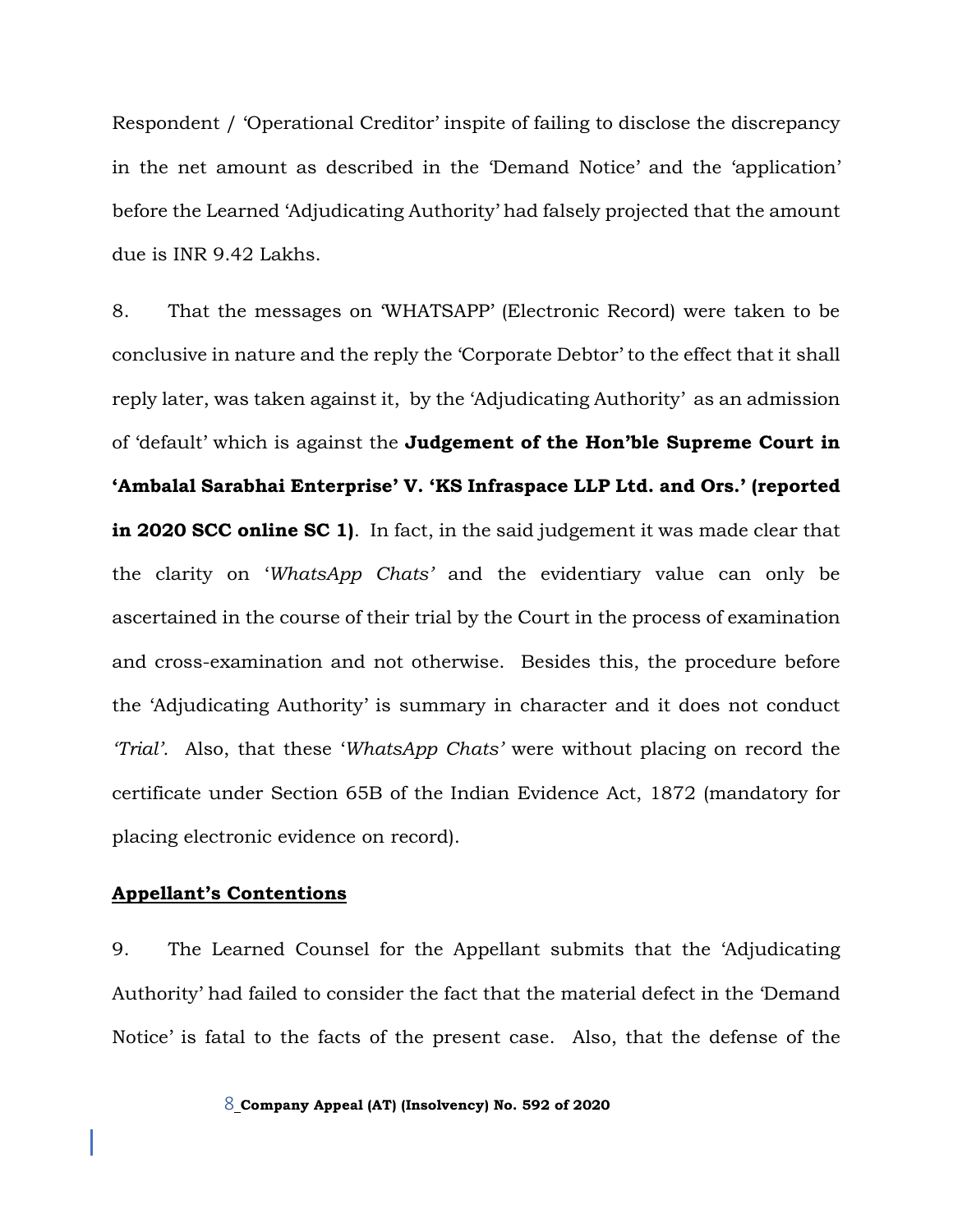Respondent / 'Operational Creditor' inspite of failing to disclose the discrepancy in the net amount as described in the 'Demand Notice' and the 'application' before the Learned 'Adjudicating Authority' had falsely projected that the amount due is INR 9.42 Lakhs.

8. That the messages on 'WHATSAPP' (Electronic Record) were taken to be conclusive in nature and the reply the 'Corporate Debtor' to the effect that it shall reply later, was taken against it, by the 'Adjudicating Authority' as an admission of 'default' which is against the **Judgement of the Hon'ble Supreme Court in 'Ambalal Sarabhai Enterprise' V. 'KS Infraspace LLP Ltd. and Ors.' (reported in 2020 SCC online SC 1)**. In fact, in the said judgement it was made clear that the clarity on '*WhatsApp Chats'* and the evidentiary value can only be ascertained in the course of their trial by the Court in the process of examination and cross-examination and not otherwise. Besides this, the procedure before the 'Adjudicating Authority' is summary in character and it does not conduct *'Trial'.* Also, that these '*WhatsApp Chats'* were without placing on record the certificate under Section 65B of the Indian Evidence Act, 1872 (mandatory for placing electronic evidence on record).

### **Appellant's Contentions**

9. The Learned Counsel for the Appellant submits that the 'Adjudicating Authority' had failed to consider the fact that the material defect in the 'Demand Notice' is fatal to the facts of the present case. Also, that the defense of the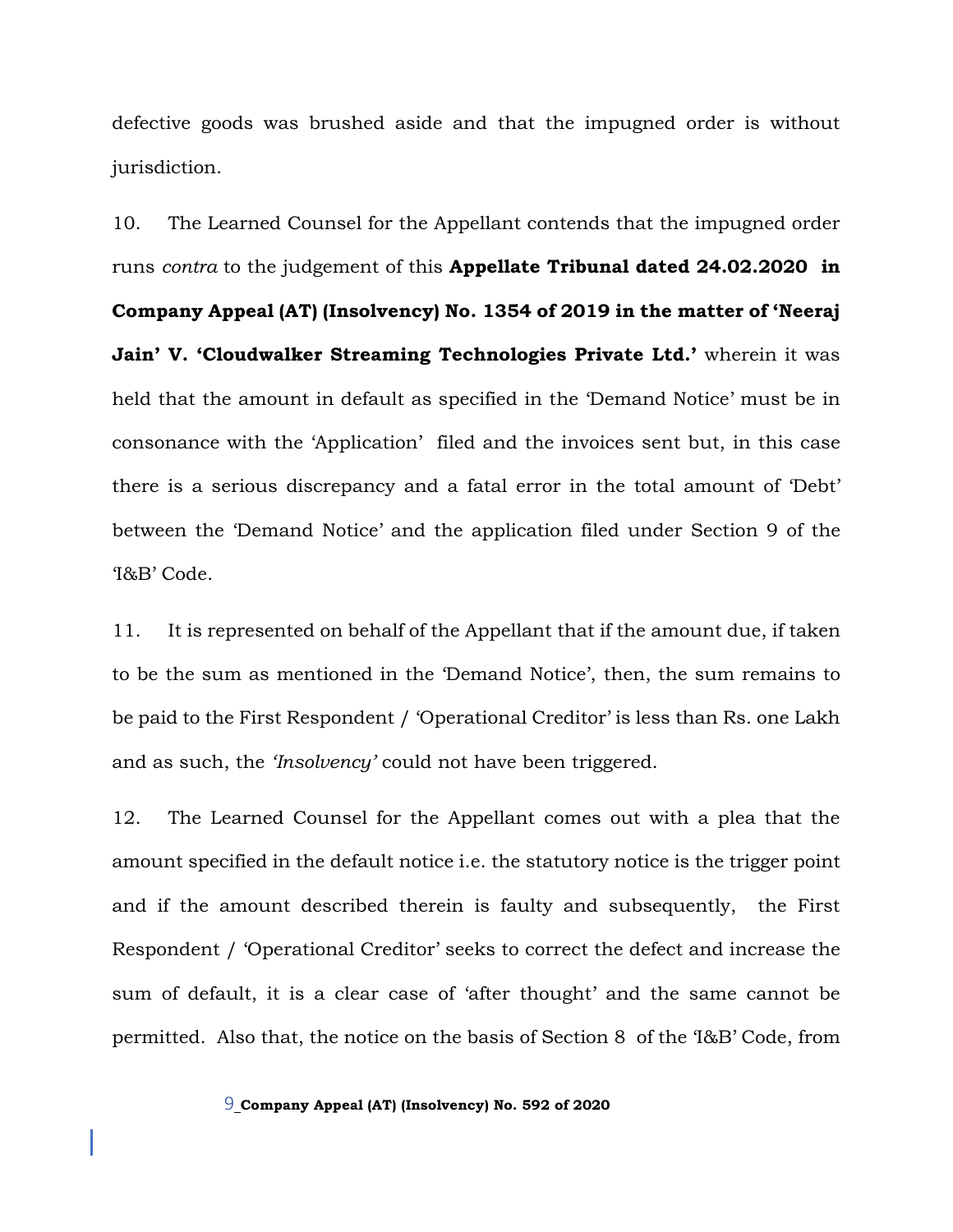defective goods was brushed aside and that the impugned order is without jurisdiction.

10. The Learned Counsel for the Appellant contends that the impugned order runs *contra* to the judgement of this **Appellate Tribunal dated 24.02.2020 in Company Appeal (AT) (Insolvency) No. 1354 of 2019 in the matter of 'Neeraj Jain' V. 'Cloudwalker Streaming Technologies Private Ltd.'** wherein it was held that the amount in default as specified in the 'Demand Notice' must be in consonance with the 'Application' filed and the invoices sent but, in this case there is a serious discrepancy and a fatal error in the total amount of 'Debt' between the 'Demand Notice' and the application filed under Section 9 of the 'I&B' Code.

11. It is represented on behalf of the Appellant that if the amount due, if taken to be the sum as mentioned in the 'Demand Notice', then, the sum remains to be paid to the First Respondent / 'Operational Creditor' is less than Rs. one Lakh and as such, the *'Insolvency'* could not have been triggered.

12. The Learned Counsel for the Appellant comes out with a plea that the amount specified in the default notice i.e. the statutory notice is the trigger point and if the amount described therein is faulty and subsequently, the First Respondent / 'Operational Creditor' seeks to correct the defect and increase the sum of default, it is a clear case of 'after thought' and the same cannot be permitted. Also that, the notice on the basis of Section 8 of the 'I&B' Code, from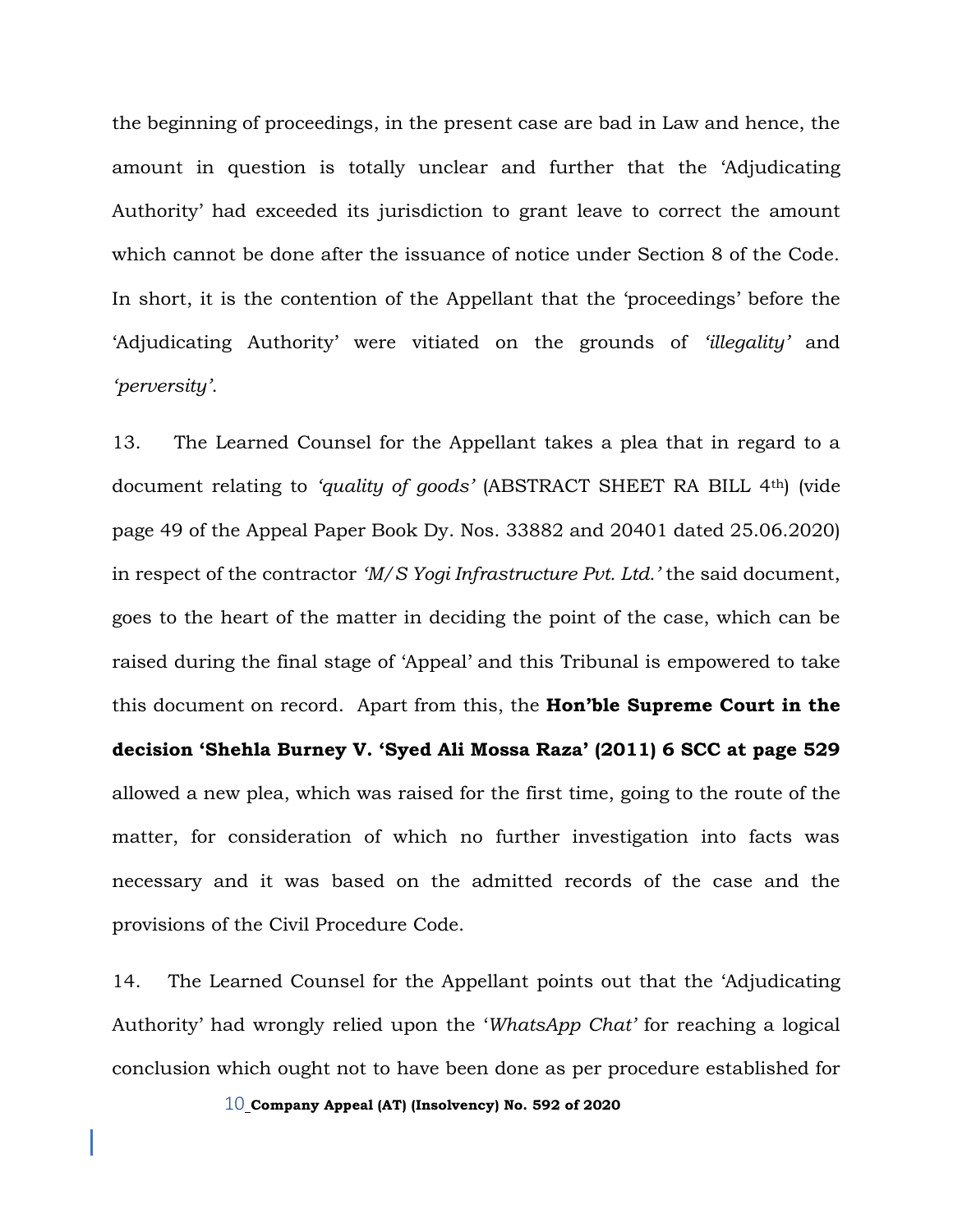the beginning of proceedings, in the present case are bad in Law and hence, the amount in question is totally unclear and further that the 'Adjudicating Authority' had exceeded its jurisdiction to grant leave to correct the amount which cannot be done after the issuance of notice under Section 8 of the Code. In short, it is the contention of the Appellant that the 'proceedings' before the 'Adjudicating Authority' were vitiated on the grounds of *'illegality'* and *'perversity'*.

13. The Learned Counsel for the Appellant takes a plea that in regard to a document relating to *'quality of goods'* (ABSTRACT SHEET RA BILL 4th) (vide page 49 of the Appeal Paper Book Dy. Nos. 33882 and 20401 dated 25.06.2020) in respect of the contractor *'M/S Yogi Infrastructure Pvt. Ltd.'* the said document, goes to the heart of the matter in deciding the point of the case, which can be raised during the final stage of 'Appeal' and this Tribunal is empowered to take this document on record. Apart from this, the **Hon'ble Supreme Court in the decision 'Shehla Burney V. 'Syed Ali Mossa Raza' (2011) 6 SCC at page 529** allowed a new plea, which was raised for the first time, going to the route of the matter, for consideration of which no further investigation into facts was necessary and it was based on the admitted records of the case and the provisions of the Civil Procedure Code.

14. The Learned Counsel for the Appellant points out that the 'Adjudicating Authority' had wrongly relied upon the '*WhatsApp Chat'* for reaching a logical conclusion which ought not to have been done as per procedure established for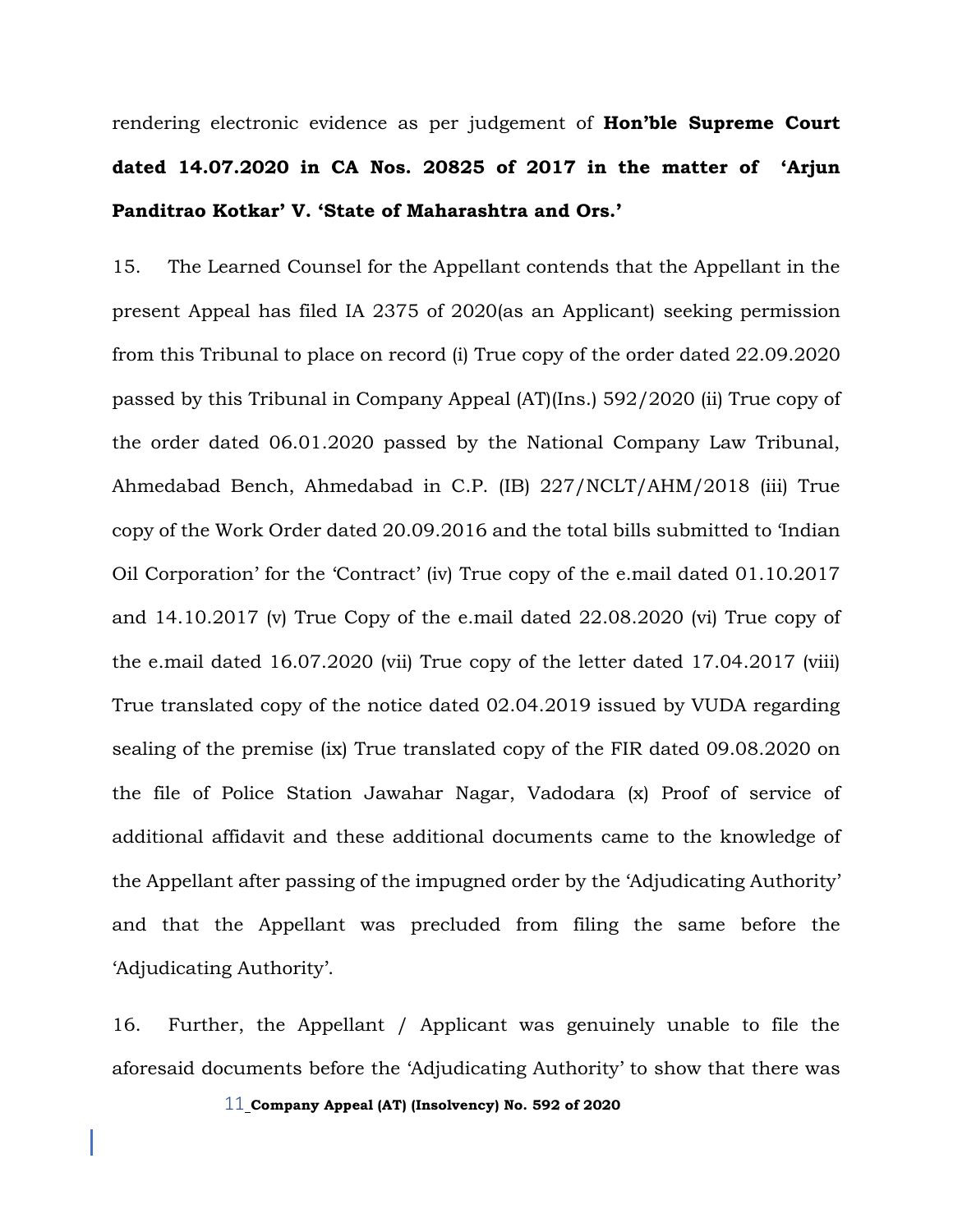rendering electronic evidence as per judgement of **Hon'ble Supreme Court dated 14.07.2020 in CA Nos. 20825 of 2017 in the matter of 'Arjun Panditrao Kotkar' V. 'State of Maharashtra and Ors.'** 

15. The Learned Counsel for the Appellant contends that the Appellant in the present Appeal has filed IA 2375 of 2020(as an Applicant) seeking permission from this Tribunal to place on record (i) True copy of the order dated 22.09.2020 passed by this Tribunal in Company Appeal (AT)(Ins.) 592/2020 (ii) True copy of the order dated 06.01.2020 passed by the National Company Law Tribunal, Ahmedabad Bench, Ahmedabad in C.P. (IB) 227/NCLT/AHM/2018 (iii) True copy of the Work Order dated 20.09.2016 and the total bills submitted to 'Indian Oil Corporation' for the 'Contract' (iv) True copy of the e.mail dated 01.10.2017 and 14.10.2017 (v) True Copy of the e.mail dated 22.08.2020 (vi) True copy of the e.mail dated 16.07.2020 (vii) True copy of the letter dated 17.04.2017 (viii) True translated copy of the notice dated 02.04.2019 issued by VUDA regarding sealing of the premise (ix) True translated copy of the FIR dated 09.08.2020 on the file of Police Station Jawahar Nagar, Vadodara (x) Proof of service of additional affidavit and these additional documents came to the knowledge of the Appellant after passing of the impugned order by the 'Adjudicating Authority' and that the Appellant was precluded from filing the same before the 'Adjudicating Authority'.

16. Further, the Appellant / Applicant was genuinely unable to file the aforesaid documents before the 'Adjudicating Authority' to show that there was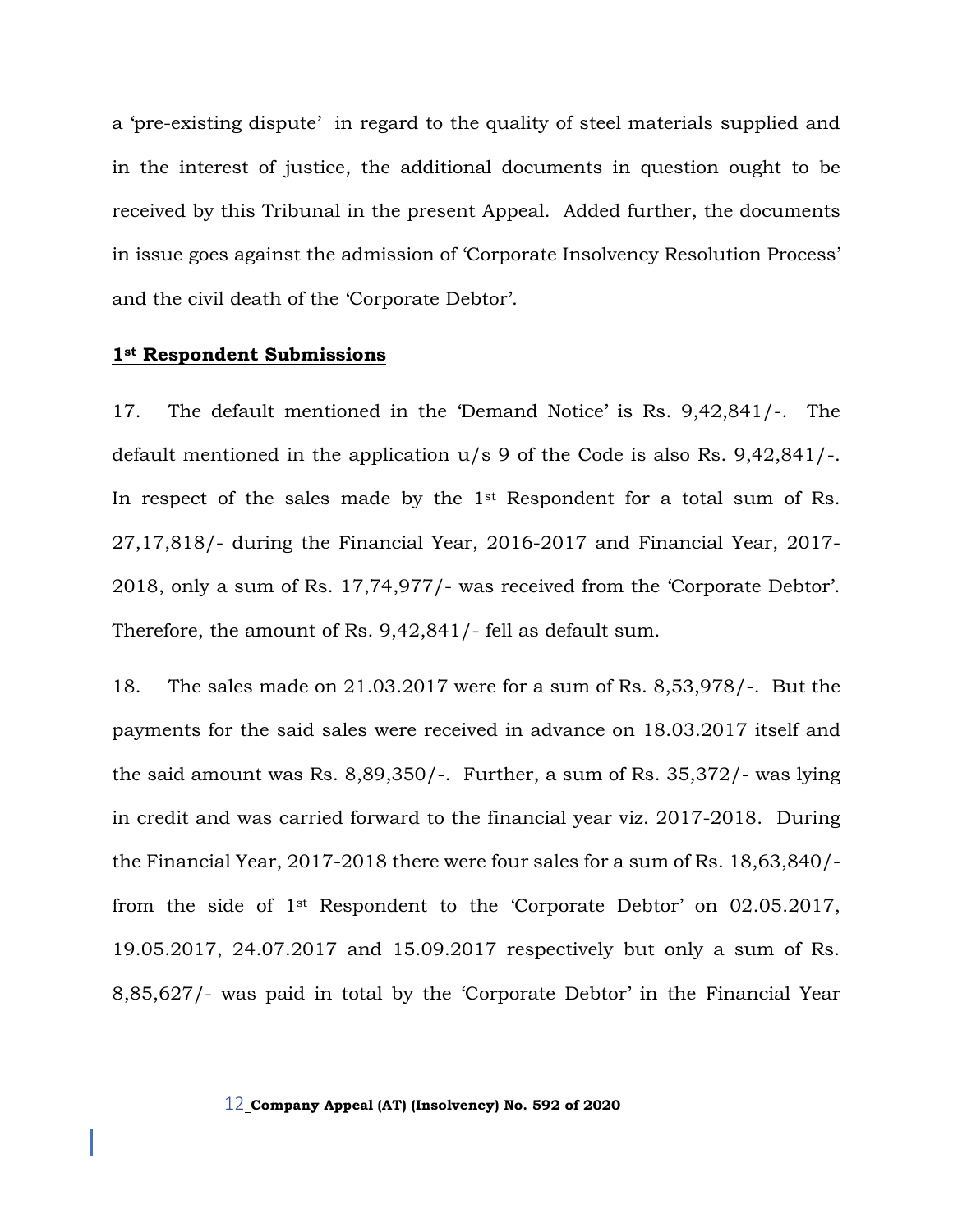a 'pre-existing dispute' in regard to the quality of steel materials supplied and in the interest of justice, the additional documents in question ought to be received by this Tribunal in the present Appeal. Added further, the documents in issue goes against the admission of 'Corporate Insolvency Resolution Process' and the civil death of the 'Corporate Debtor'.

#### **1st Respondent Submissions**

17. The default mentioned in the 'Demand Notice' is Rs. 9,42,841/-. The default mentioned in the application u/s 9 of the Code is also Rs. 9,42,841/-. In respect of the sales made by the 1<sup>st</sup> Respondent for a total sum of Rs. 27,17,818/- during the Financial Year, 2016-2017 and Financial Year, 2017- 2018, only a sum of Rs. 17,74,977/- was received from the 'Corporate Debtor'. Therefore, the amount of Rs. 9,42,841/- fell as default sum.

18. The sales made on 21.03.2017 were for a sum of Rs. 8,53,978/-. But the payments for the said sales were received in advance on 18.03.2017 itself and the said amount was Rs. 8,89,350/-. Further, a sum of Rs. 35,372/- was lying in credit and was carried forward to the financial year viz. 2017-2018. During the Financial Year, 2017-2018 there were four sales for a sum of Rs. 18,63,840/ from the side of 1st Respondent to the 'Corporate Debtor' on 02.05.2017, 19.05.2017, 24.07.2017 and 15.09.2017 respectively but only a sum of Rs. 8,85,627/- was paid in total by the 'Corporate Debtor' in the Financial Year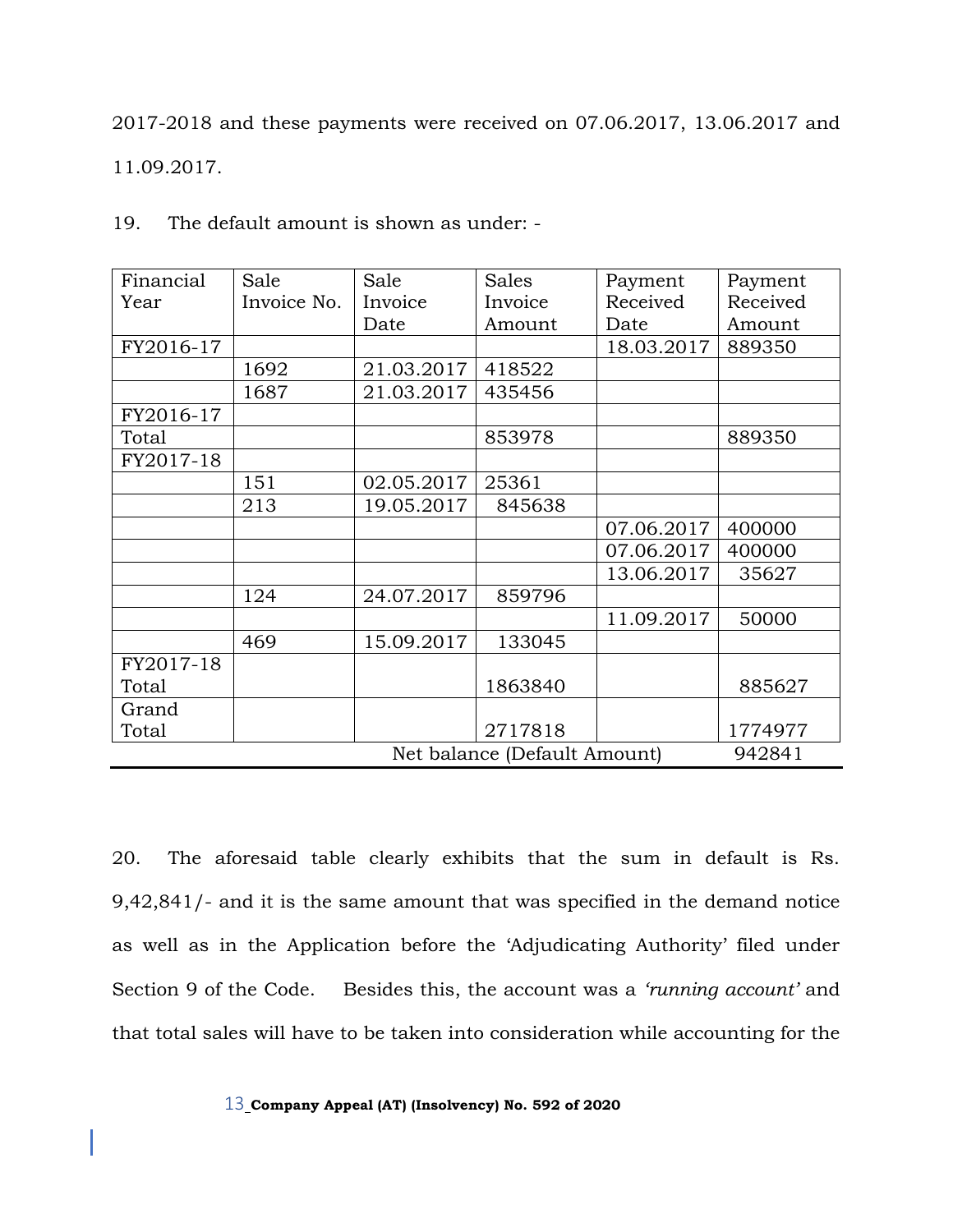2017-2018 and these payments were received on 07.06.2017, 13.06.2017 and 11.09.2017.

| Financial                    | Sale        | Sale       | <b>Sales</b> | Payment    | Payment  |
|------------------------------|-------------|------------|--------------|------------|----------|
| Year                         | Invoice No. | Invoice    | Invoice      | Received   | Received |
|                              |             | Date       | Amount       | Date       | Amount   |
| FY2016-17                    |             |            |              | 18.03.2017 | 889350   |
|                              | 1692        | 21.03.2017 | 418522       |            |          |
|                              | 1687        | 21.03.2017 | 435456       |            |          |
| FY2016-17                    |             |            |              |            |          |
| Total                        |             |            | 853978       |            | 889350   |
| FY2017-18                    |             |            |              |            |          |
|                              | 151         | 02.05.2017 | 25361        |            |          |
|                              | 213         | 19.05.2017 | 845638       |            |          |
|                              |             |            |              | 07.06.2017 | 400000   |
|                              |             |            |              | 07.06.2017 | 400000   |
|                              |             |            |              | 13.06.2017 | 35627    |
|                              | 124         | 24.07.2017 | 859796       |            |          |
|                              |             |            |              | 11.09.2017 | 50000    |
|                              | 469         | 15.09.2017 | 133045       |            |          |
| FY2017-18                    |             |            |              |            |          |
| Total                        |             |            | 1863840      |            | 885627   |
| Grand                        |             |            |              |            |          |
| Total                        |             |            | 2717818      |            | 1774977  |
| Net balance (Default Amount) |             |            |              |            | 942841   |

19. The default amount is shown as under: -

20. The aforesaid table clearly exhibits that the sum in default is Rs. 9,42,841/- and it is the same amount that was specified in the demand notice as well as in the Application before the 'Adjudicating Authority' filed under Section 9 of the Code. Besides this, the account was a *'running account'* and that total sales will have to be taken into consideration while accounting for the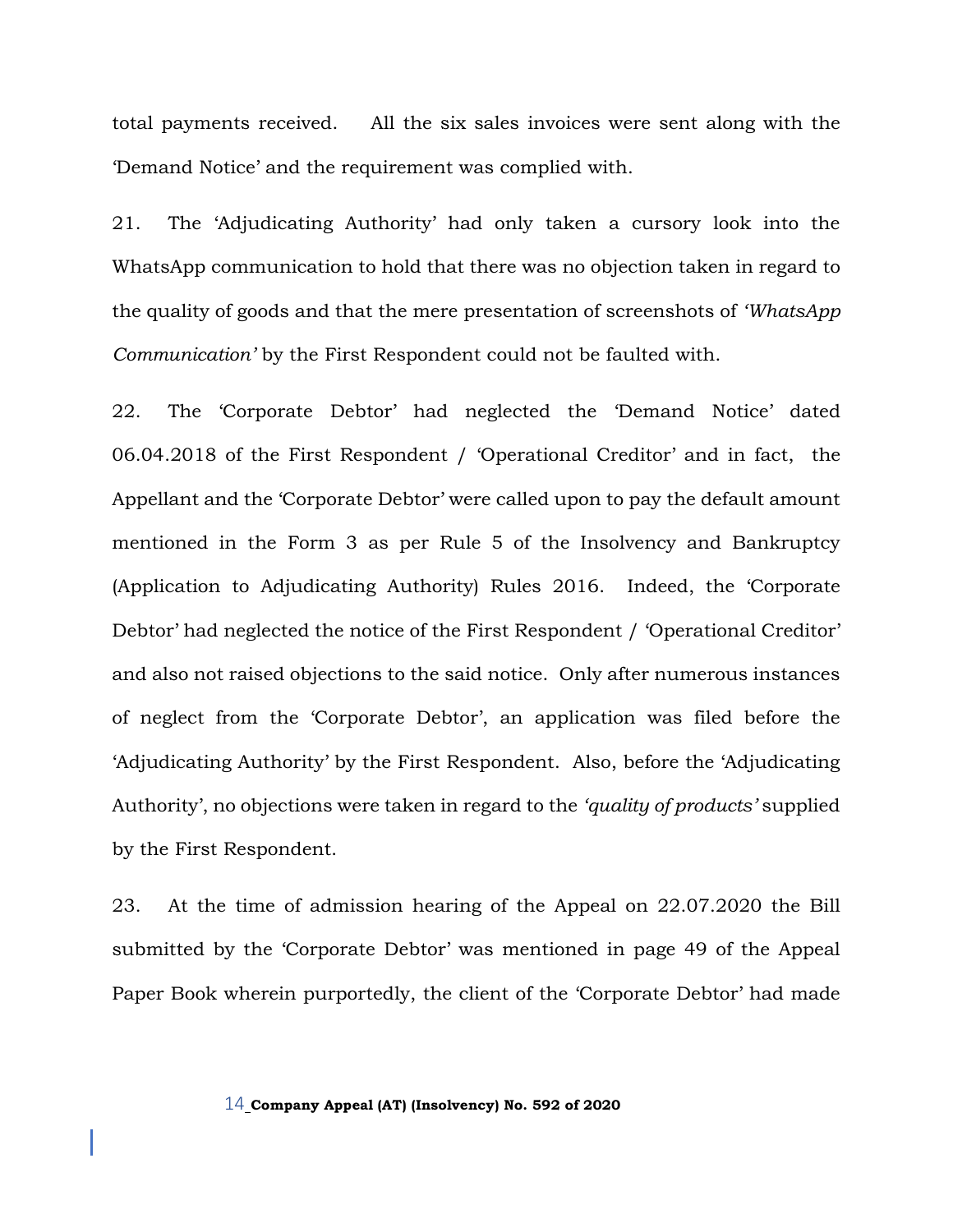total payments received. All the six sales invoices were sent along with the 'Demand Notice' and the requirement was complied with.

21. The 'Adjudicating Authority' had only taken a cursory look into the WhatsApp communication to hold that there was no objection taken in regard to the quality of goods and that the mere presentation of screenshots of *'WhatsApp Communication'* by the First Respondent could not be faulted with.

22. The 'Corporate Debtor' had neglected the 'Demand Notice' dated 06.04.2018 of the First Respondent / 'Operational Creditor' and in fact, the Appellant and the 'Corporate Debtor' were called upon to pay the default amount mentioned in the Form 3 as per Rule 5 of the Insolvency and Bankruptcy (Application to Adjudicating Authority) Rules 2016. Indeed, the 'Corporate Debtor' had neglected the notice of the First Respondent / 'Operational Creditor' and also not raised objections to the said notice. Only after numerous instances of neglect from the 'Corporate Debtor', an application was filed before the 'Adjudicating Authority' by the First Respondent. Also, before the 'Adjudicating Authority', no objections were taken in regard to the *'quality of products'* supplied by the First Respondent.

23. At the time of admission hearing of the Appeal on 22.07.2020 the Bill submitted by the 'Corporate Debtor' was mentioned in page 49 of the Appeal Paper Book wherein purportedly, the client of the 'Corporate Debtor' had made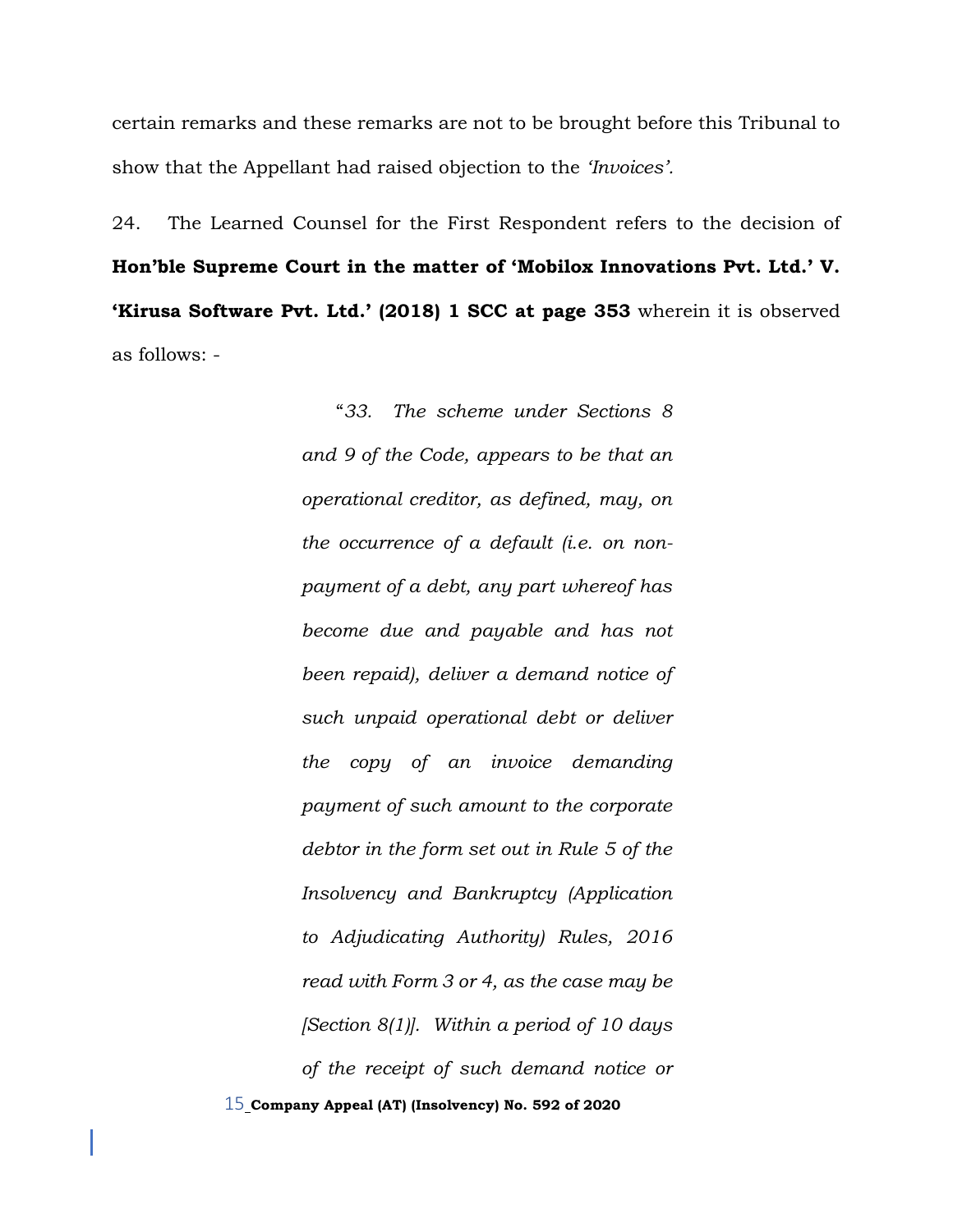certain remarks and these remarks are not to be brought before this Tribunal to show that the Appellant had raised objection to the *'Invoices'.*

24. The Learned Counsel for the First Respondent refers to the decision of **Hon'ble Supreme Court in the matter of 'Mobilox Innovations Pvt. Ltd.' V. 'Kirusa Software Pvt. Ltd.' (2018) 1 SCC at page 353** wherein it is observed as follows: -

> 15 **Company Appeal (AT) (Insolvency) No. 592 of 2020** "*33. The scheme under Sections 8 and 9 of the Code, appears to be that an operational creditor, as defined, may, on the occurrence of a default (i.e. on nonpayment of a debt, any part whereof has become due and payable and has not been repaid), deliver a demand notice of such unpaid operational debt or deliver the copy of an invoice demanding payment of such amount to the corporate debtor in the form set out in Rule 5 of the Insolvency and Bankruptcy (Application to Adjudicating Authority) Rules, 2016 read with Form 3 or 4, as the case may be [Section 8(1)]. Within a period of 10 days of the receipt of such demand notice or*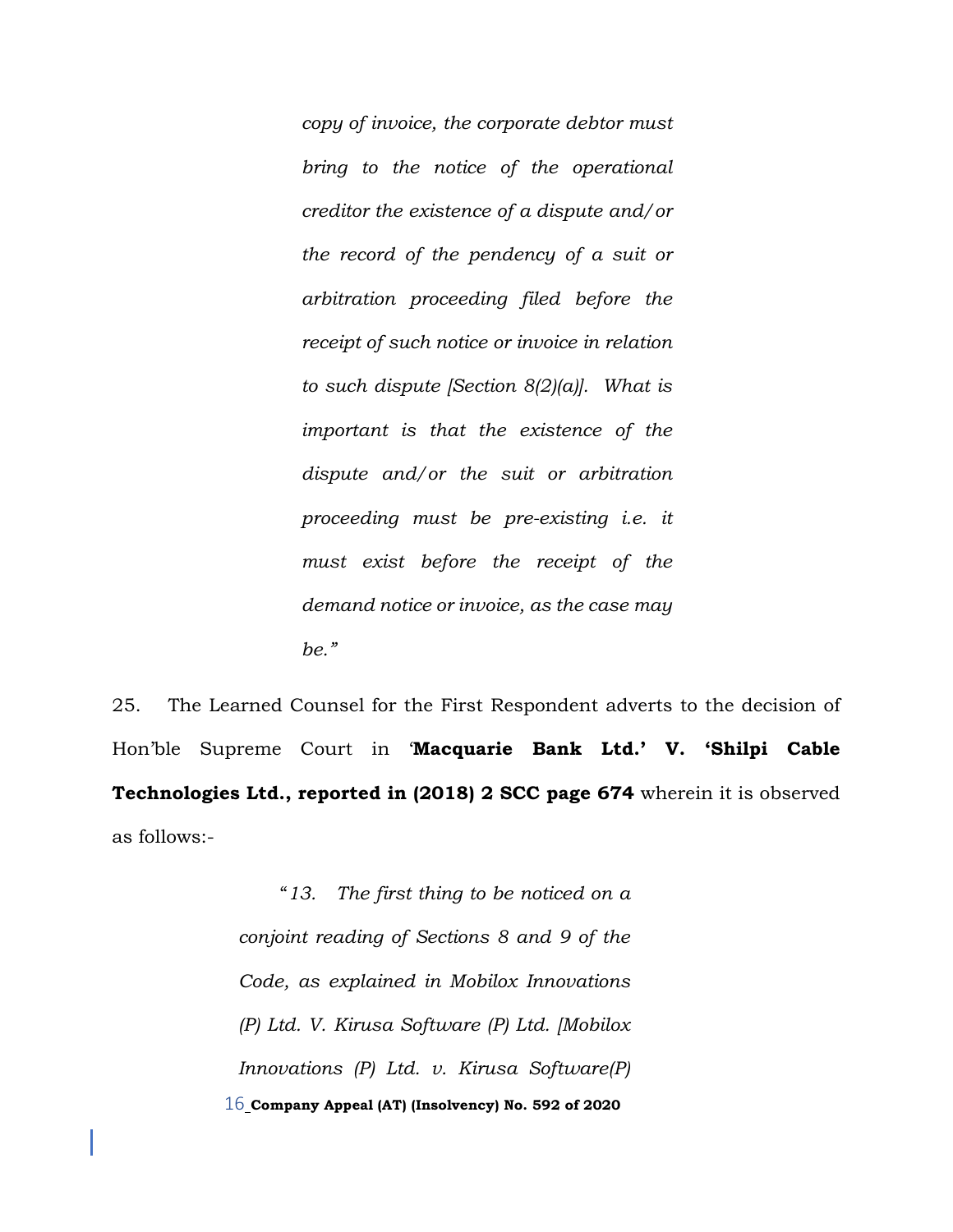*copy of invoice, the corporate debtor must bring to the notice of the operational creditor the existence of a dispute and/or the record of the pendency of a suit or arbitration proceeding filed before the receipt of such notice or invoice in relation to such dispute [Section 8(2)(a)]. What is important is that the existence of the dispute and/or the suit or arbitration proceeding must be pre-existing i.e. it must exist before the receipt of the demand notice or invoice, as the case may be."*

25. The Learned Counsel for the First Respondent adverts to the decision of Hon'ble Supreme Court in '**Macquarie Bank Ltd.' V. 'Shilpi Cable Technologies Ltd., reported in (2018) 2 SCC page 674** wherein it is observed as follows:-

> 16 **Company Appeal (AT) (Insolvency) No. 592 of 2020** "*13. The first thing to be noticed on a conjoint reading of Sections 8 and 9 of the Code, as explained in Mobilox Innovations (P) Ltd. V. Kirusa Software (P) Ltd. [Mobilox Innovations (P) Ltd. v. Kirusa Software(P)*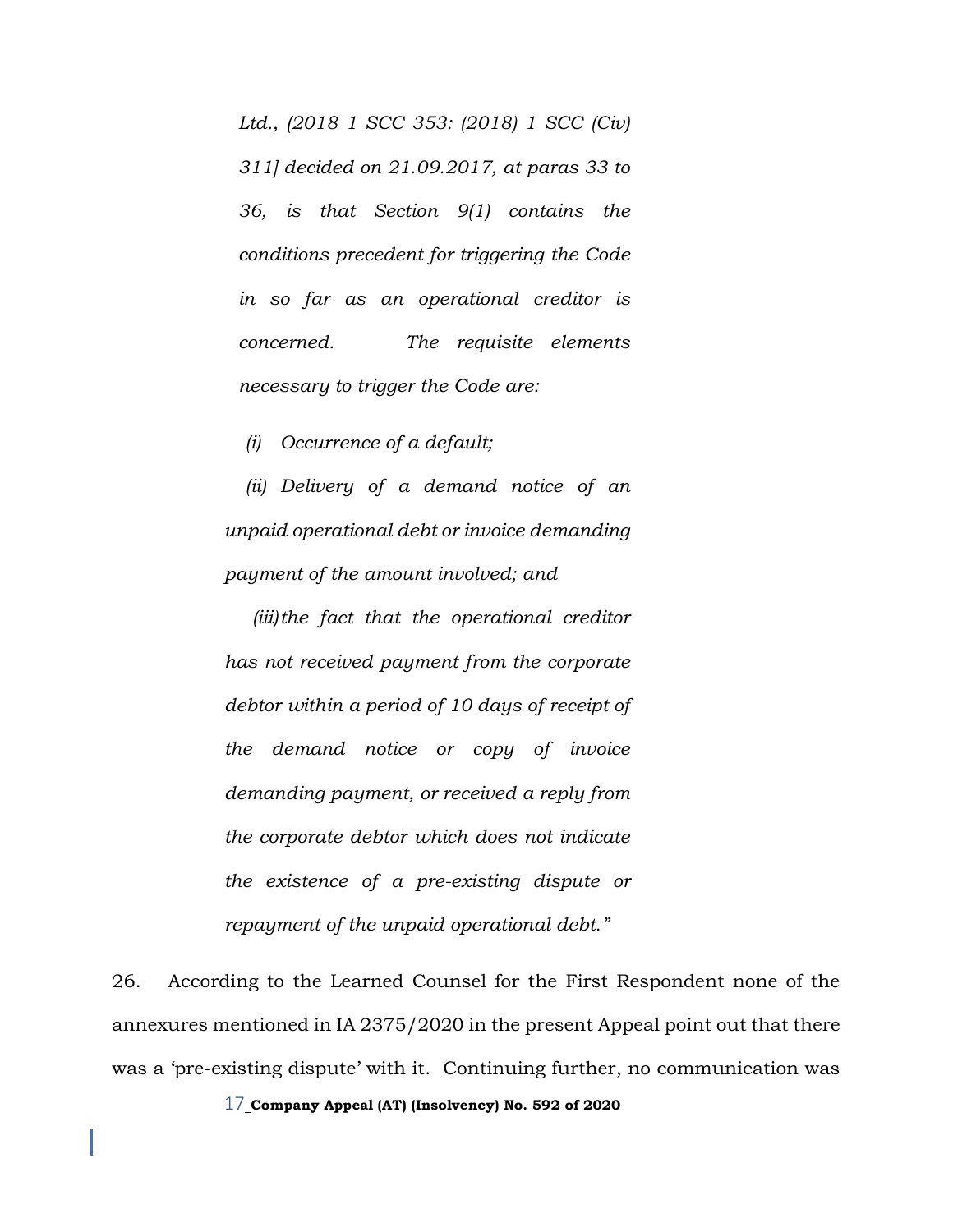*Ltd., (2018 1 SCC 353: (2018) 1 SCC (Civ) 311] decided on 21.09.2017, at paras 33 to 36, is that Section 9(1) contains the conditions precedent for triggering the Code in so far as an operational creditor is concerned. The requisite elements necessary to trigger the Code are:*

*(i) Occurrence of a default;*

*(ii) Delivery of a demand notice of an unpaid operational debt or invoice demanding payment of the amount involved; and*

*(iii)the fact that the operational creditor has not received payment from the corporate debtor within a period of 10 days of receipt of the demand notice or copy of invoice demanding payment, or received a reply from the corporate debtor which does not indicate the existence of a pre-existing dispute or repayment of the unpaid operational debt."* 

26. According to the Learned Counsel for the First Respondent none of the annexures mentioned in IA 2375/2020 in the present Appeal point out that there was a 'pre-existing dispute' with it. Continuing further, no communication was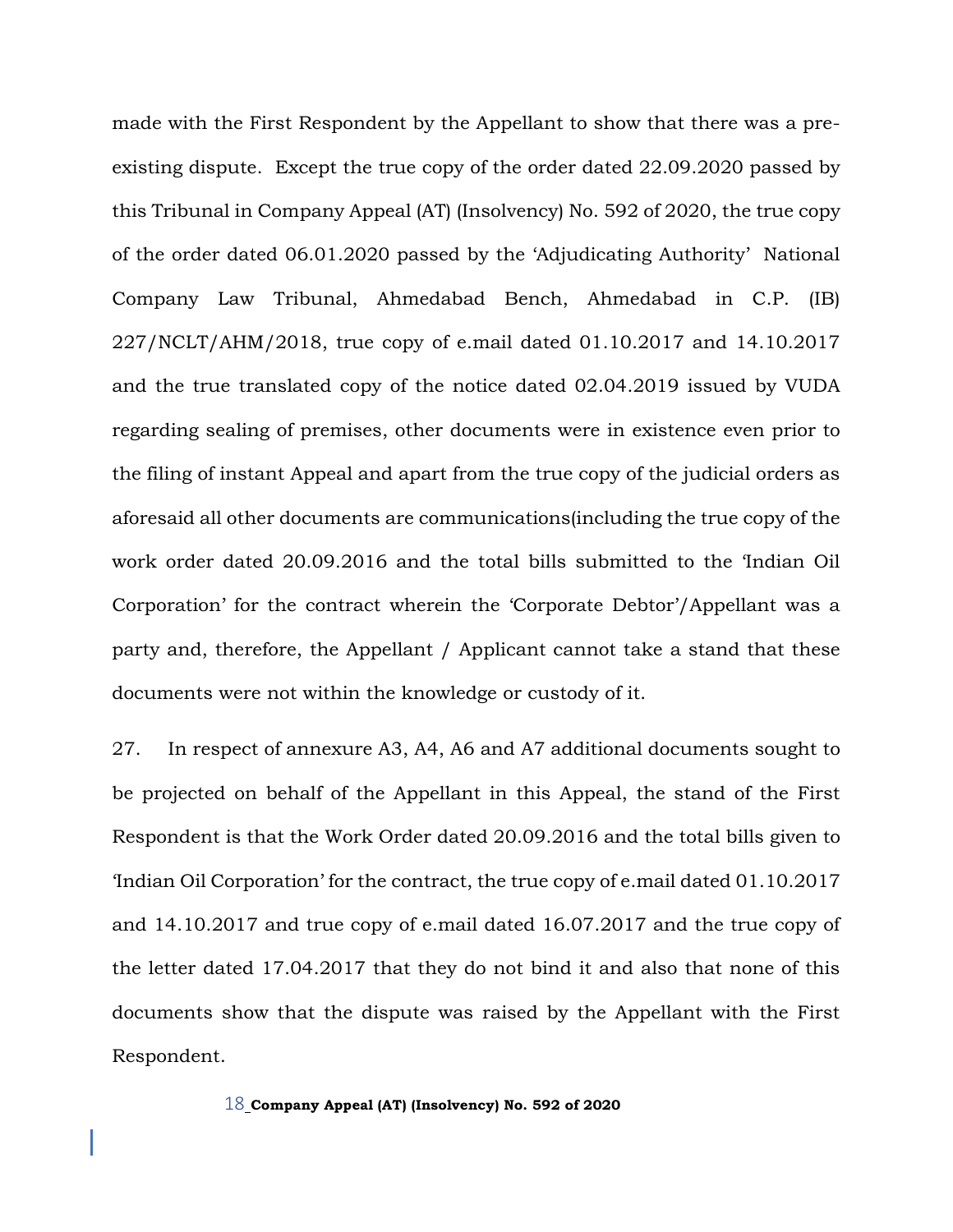made with the First Respondent by the Appellant to show that there was a preexisting dispute. Except the true copy of the order dated 22.09.2020 passed by this Tribunal in Company Appeal (AT) (Insolvency) No. 592 of 2020, the true copy of the order dated 06.01.2020 passed by the 'Adjudicating Authority' National Company Law Tribunal, Ahmedabad Bench, Ahmedabad in C.P. (IB) 227/NCLT/AHM/2018, true copy of e.mail dated 01.10.2017 and 14.10.2017 and the true translated copy of the notice dated 02.04.2019 issued by VUDA regarding sealing of premises, other documents were in existence even prior to the filing of instant Appeal and apart from the true copy of the judicial orders as aforesaid all other documents are communications(including the true copy of the work order dated 20.09.2016 and the total bills submitted to the 'Indian Oil Corporation' for the contract wherein the 'Corporate Debtor'/Appellant was a party and, therefore, the Appellant / Applicant cannot take a stand that these documents were not within the knowledge or custody of it.

27. In respect of annexure A3, A4, A6 and A7 additional documents sought to be projected on behalf of the Appellant in this Appeal, the stand of the First Respondent is that the Work Order dated 20.09.2016 and the total bills given to 'Indian Oil Corporation' for the contract, the true copy of e.mail dated 01.10.2017 and 14.10.2017 and true copy of e.mail dated 16.07.2017 and the true copy of the letter dated 17.04.2017 that they do not bind it and also that none of this documents show that the dispute was raised by the Appellant with the First Respondent.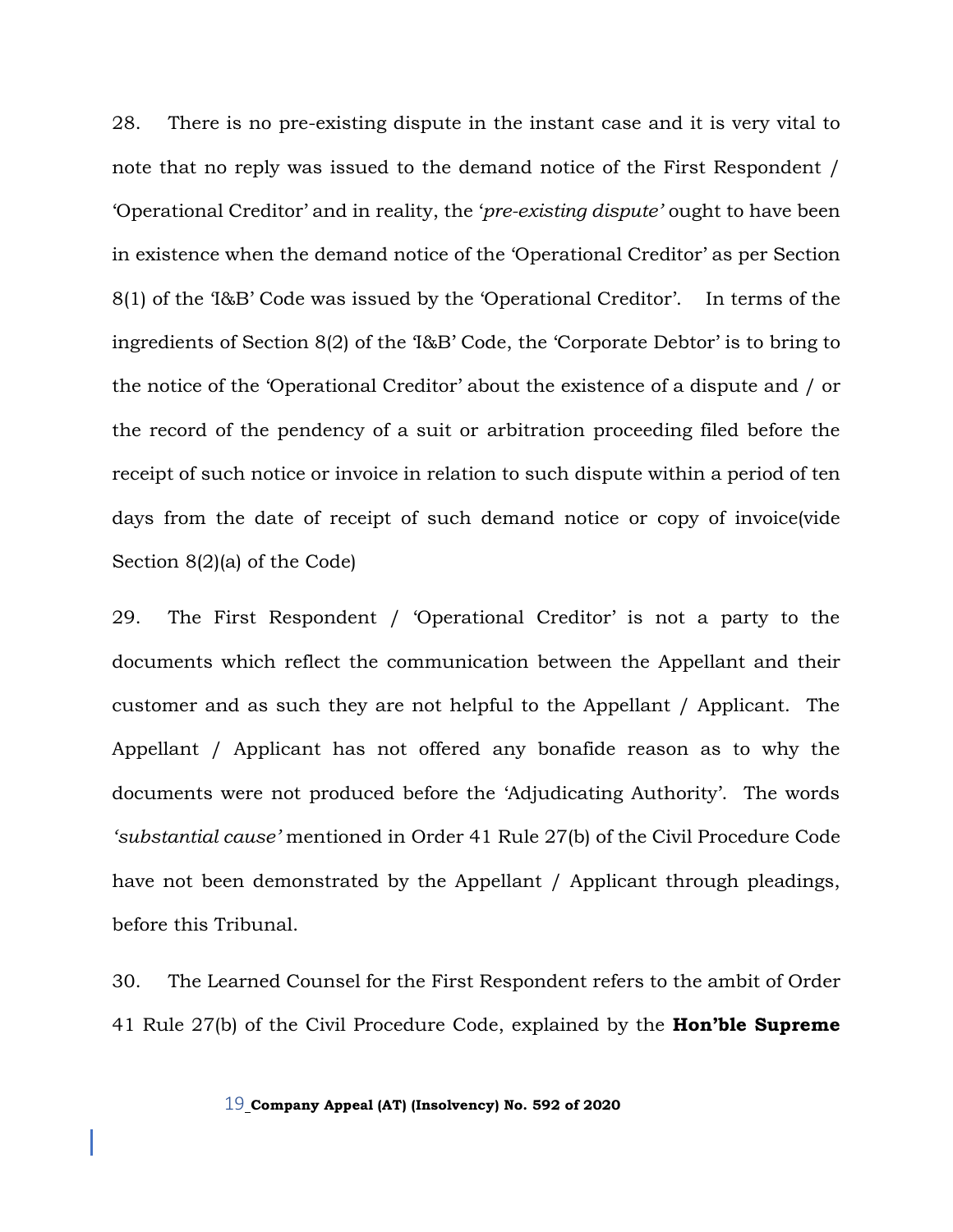28. There is no pre-existing dispute in the instant case and it is very vital to note that no reply was issued to the demand notice of the First Respondent / 'Operational Creditor' and in reality, the '*pre-existing dispute'* ought to have been in existence when the demand notice of the 'Operational Creditor' as per Section 8(1) of the 'I&B' Code was issued by the 'Operational Creditor'. In terms of the ingredients of Section 8(2) of the 'I&B' Code, the 'Corporate Debtor' is to bring to the notice of the 'Operational Creditor' about the existence of a dispute and / or the record of the pendency of a suit or arbitration proceeding filed before the receipt of such notice or invoice in relation to such dispute within a period of ten days from the date of receipt of such demand notice or copy of invoice(vide Section 8(2)(a) of the Code)

29. The First Respondent / 'Operational Creditor' is not a party to the documents which reflect the communication between the Appellant and their customer and as such they are not helpful to the Appellant / Applicant. The Appellant / Applicant has not offered any bonafide reason as to why the documents were not produced before the 'Adjudicating Authority'. The words *'substantial cause'* mentioned in Order 41 Rule 27(b) of the Civil Procedure Code have not been demonstrated by the Appellant / Applicant through pleadings, before this Tribunal.

30. The Learned Counsel for the First Respondent refers to the ambit of Order 41 Rule 27(b) of the Civil Procedure Code, explained by the **Hon'ble Supreme**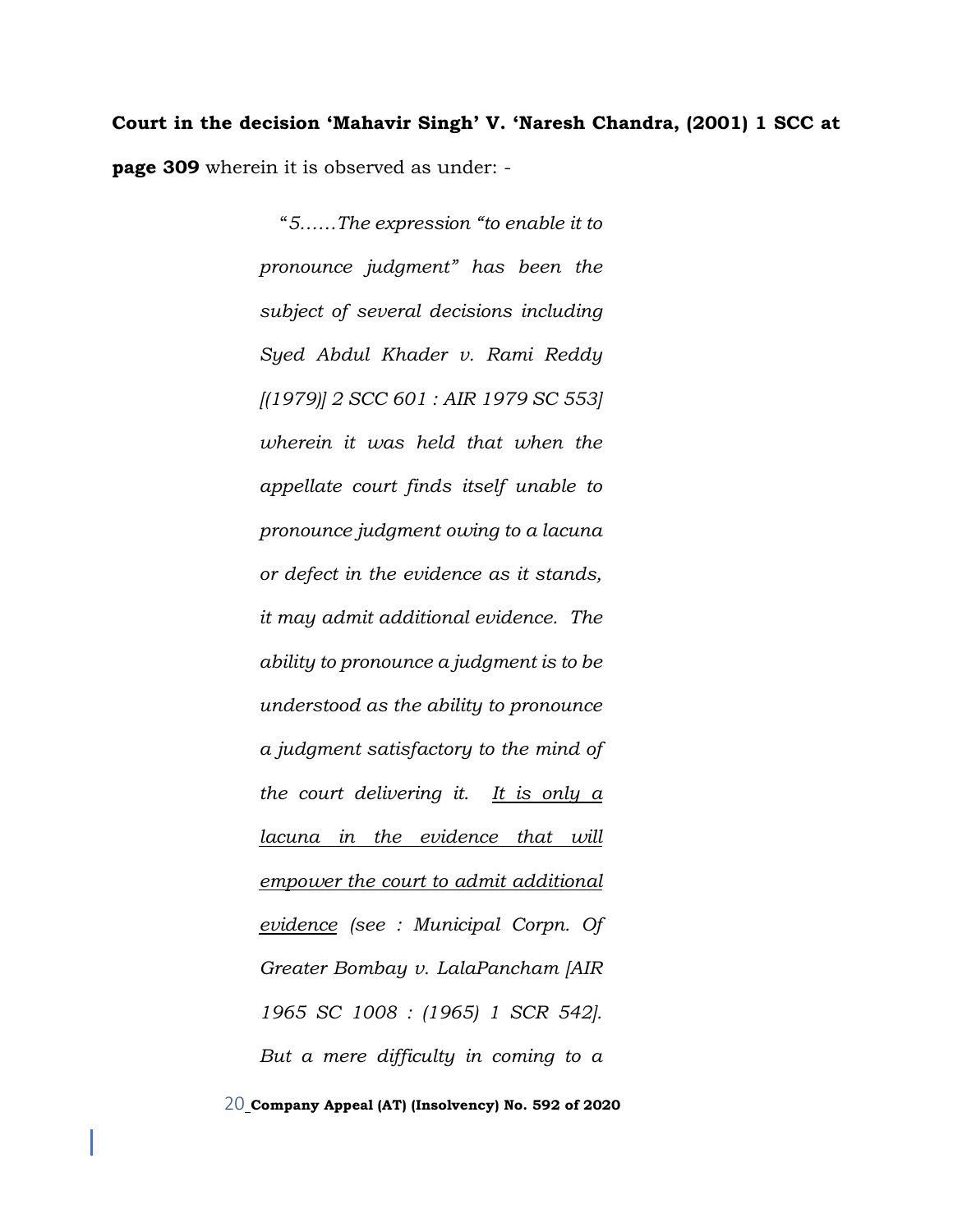**Court in the decision 'Mahavir Singh' V. 'Naresh Chandra, (2001) 1 SCC at page 309** wherein it is observed as under: -

> "*5……The expression "to enable it to pronounce judgment" has been the subject of several decisions including Syed Abdul Khader v. Rami Reddy [(1979)] 2 SCC 601 : AIR 1979 SC 553] wherein it was held that when the appellate court finds itself unable to pronounce judgment owing to a lacuna or defect in the evidence as it stands, it may admit additional evidence. The ability to pronounce a judgment is to be understood as the ability to pronounce a judgment satisfactory to the mind of the court delivering it. It is only a lacuna in the evidence that will empower the court to admit additional evidence (see : Municipal Corpn. Of Greater Bombay v. LalaPancham [AIR 1965 SC 1008 : (1965) 1 SCR 542]. But a mere difficulty in coming to a*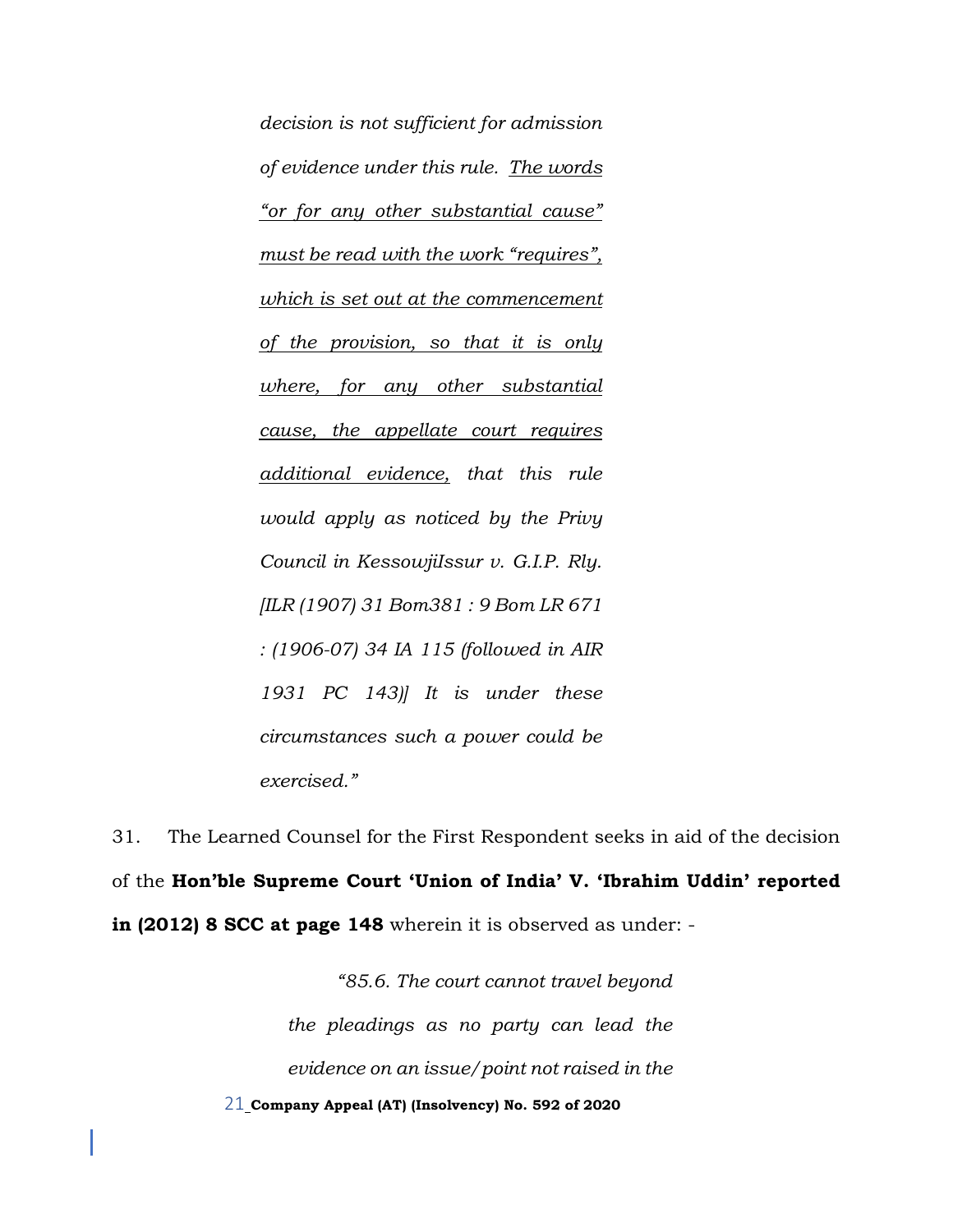*decision is not sufficient for admission of evidence under this rule. The words "or for any other substantial cause" must be read with the work "requires", which is set out at the commencement of the provision, so that it is only where, for any other substantial cause, the appellate court requires additional evidence, that this rule would apply as noticed by the Privy Council in KessowjiIssur v. G.I.P. Rly. [ILR (1907) 31 Bom381 : 9 Bom LR 671 : (1906-07) 34 IA 115 (followed in AIR 1931 PC 143)] It is under these circumstances such a power could be exercised."*

31. The Learned Counsel for the First Respondent seeks in aid of the decision of the **Hon'ble Supreme Court 'Union of India' V. 'Ibrahim Uddin' reported in (2012) 8 SCC at page 148** wherein it is observed as under: -

> 21 **Company Appeal (AT) (Insolvency) No. 592 of 2020** *"85.6. The court cannot travel beyond the pleadings as no party can lead the evidence on an issue/point not raised in the*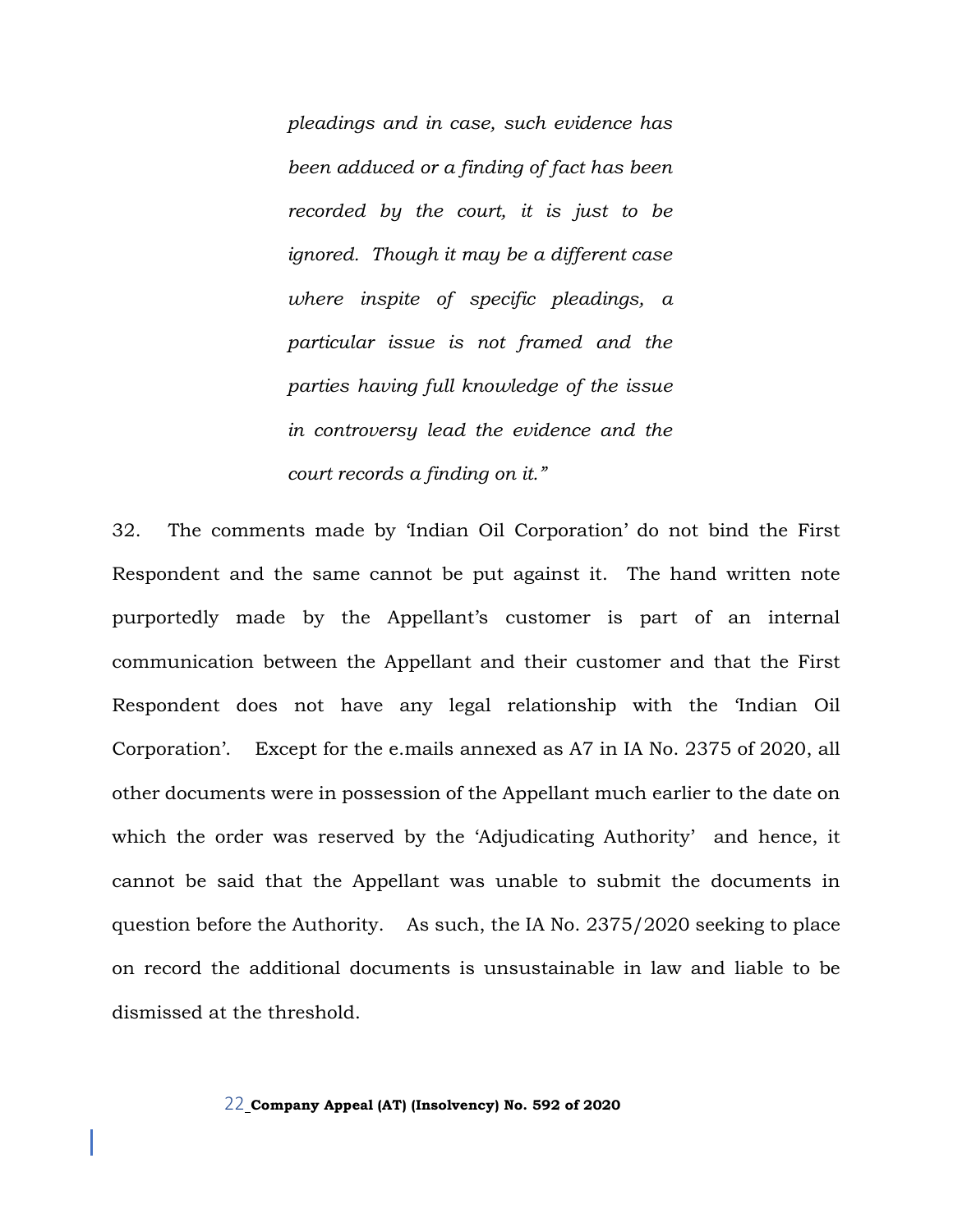*pleadings and in case, such evidence has been adduced or a finding of fact has been recorded by the court, it is just to be ignored. Though it may be a different case where inspite of specific pleadings, a particular issue is not framed and the parties having full knowledge of the issue in controversy lead the evidence and the court records a finding on it."*

32. The comments made by 'Indian Oil Corporation' do not bind the First Respondent and the same cannot be put against it. The hand written note purportedly made by the Appellant's customer is part of an internal communication between the Appellant and their customer and that the First Respondent does not have any legal relationship with the 'Indian Oil Corporation'. Except for the e.mails annexed as A7 in IA No. 2375 of 2020, all other documents were in possession of the Appellant much earlier to the date on which the order was reserved by the 'Adjudicating Authority' and hence, it cannot be said that the Appellant was unable to submit the documents in question before the Authority. As such, the IA No. 2375/2020 seeking to place on record the additional documents is unsustainable in law and liable to be dismissed at the threshold.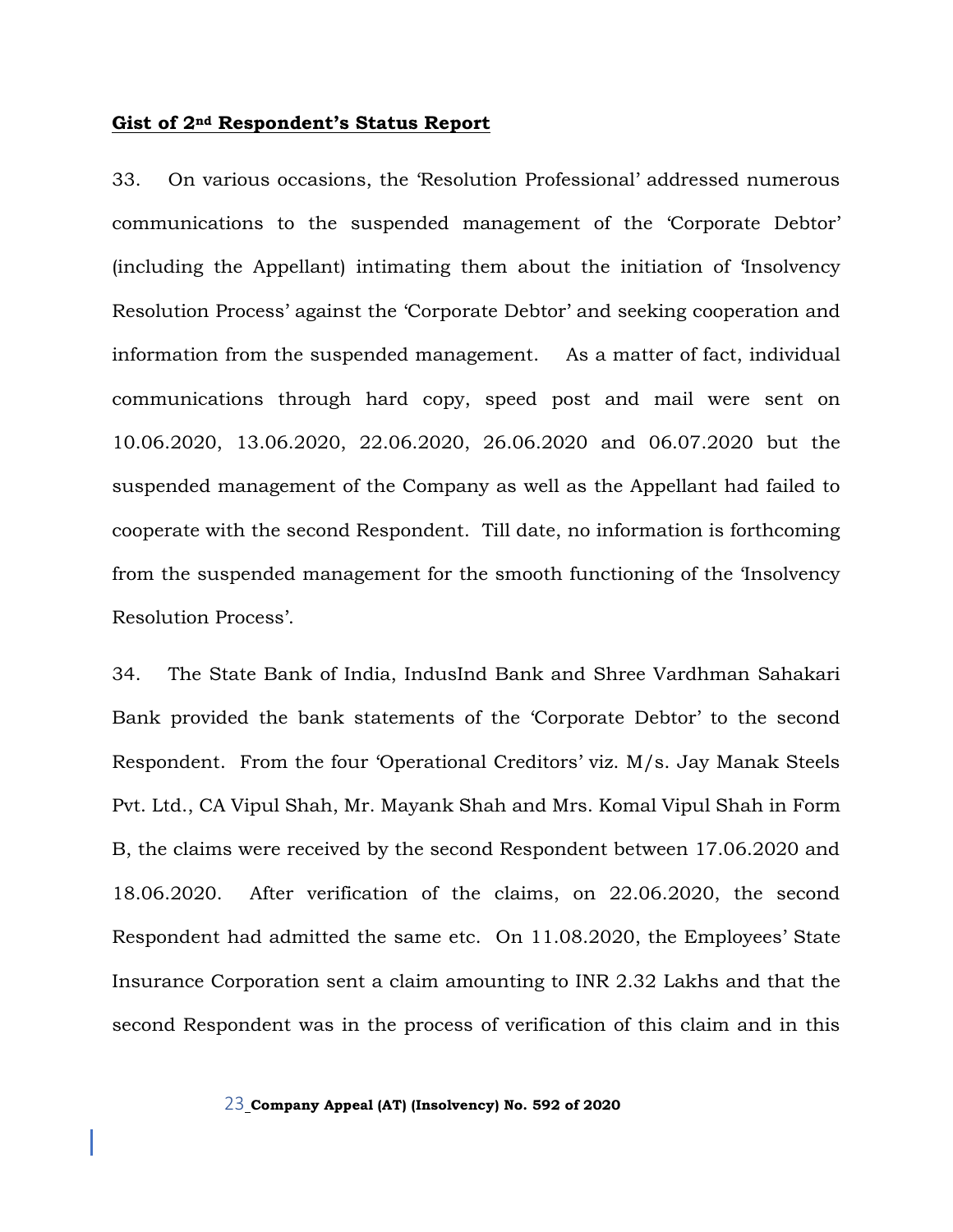#### **Gist of 2nd Respondent's Status Report**

33. On various occasions, the 'Resolution Professional' addressed numerous communications to the suspended management of the 'Corporate Debtor' (including the Appellant) intimating them about the initiation of 'Insolvency Resolution Process' against the 'Corporate Debtor' and seeking cooperation and information from the suspended management. As a matter of fact, individual communications through hard copy, speed post and mail were sent on 10.06.2020, 13.06.2020, 22.06.2020, 26.06.2020 and 06.07.2020 but the suspended management of the Company as well as the Appellant had failed to cooperate with the second Respondent. Till date, no information is forthcoming from the suspended management for the smooth functioning of the 'Insolvency Resolution Process'.

34. The State Bank of India, IndusInd Bank and Shree Vardhman Sahakari Bank provided the bank statements of the 'Corporate Debtor' to the second Respondent. From the four 'Operational Creditors' viz. M/s. Jay Manak Steels Pvt. Ltd., CA Vipul Shah, Mr. Mayank Shah and Mrs. Komal Vipul Shah in Form B, the claims were received by the second Respondent between 17.06.2020 and 18.06.2020. After verification of the claims, on 22.06.2020, the second Respondent had admitted the same etc. On 11.08.2020, the Employees' State Insurance Corporation sent a claim amounting to INR 2.32 Lakhs and that the second Respondent was in the process of verification of this claim and in this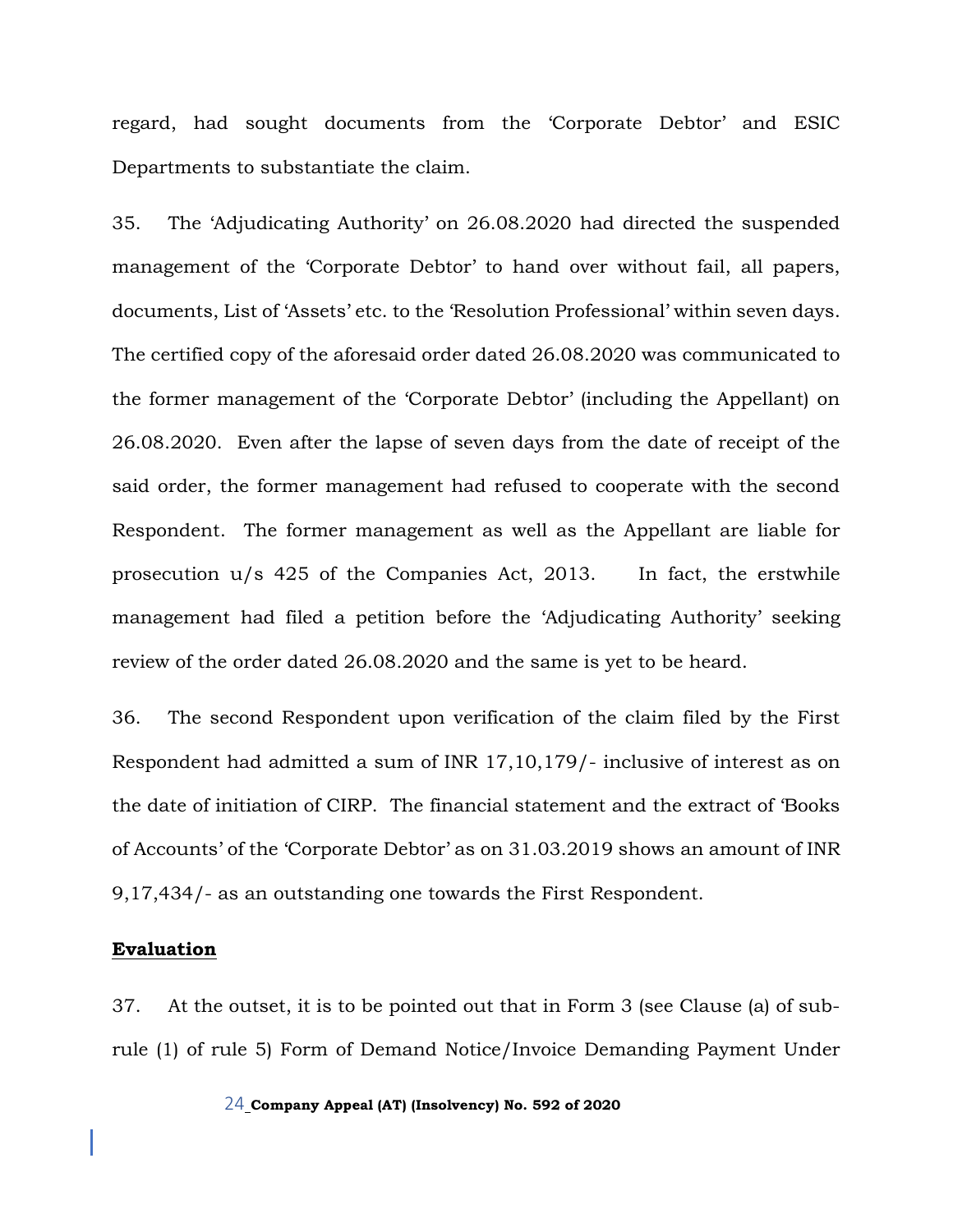regard, had sought documents from the 'Corporate Debtor' and ESIC Departments to substantiate the claim.

35. The 'Adjudicating Authority' on 26.08.2020 had directed the suspended management of the 'Corporate Debtor' to hand over without fail, all papers, documents, List of 'Assets' etc. to the 'Resolution Professional' within seven days. The certified copy of the aforesaid order dated 26.08.2020 was communicated to the former management of the 'Corporate Debtor' (including the Appellant) on 26.08.2020. Even after the lapse of seven days from the date of receipt of the said order, the former management had refused to cooperate with the second Respondent. The former management as well as the Appellant are liable for prosecution u/s 425 of the Companies Act, 2013. In fact, the erstwhile management had filed a petition before the 'Adjudicating Authority' seeking review of the order dated 26.08.2020 and the same is yet to be heard.

36. The second Respondent upon verification of the claim filed by the First Respondent had admitted a sum of INR 17,10,179/- inclusive of interest as on the date of initiation of CIRP. The financial statement and the extract of 'Books of Accounts' of the 'Corporate Debtor' as on 31.03.2019 shows an amount of INR 9,17,434/- as an outstanding one towards the First Respondent.

#### **Evaluation**

37. At the outset, it is to be pointed out that in Form 3 (see Clause (a) of subrule (1) of rule 5) Form of Demand Notice/Invoice Demanding Payment Under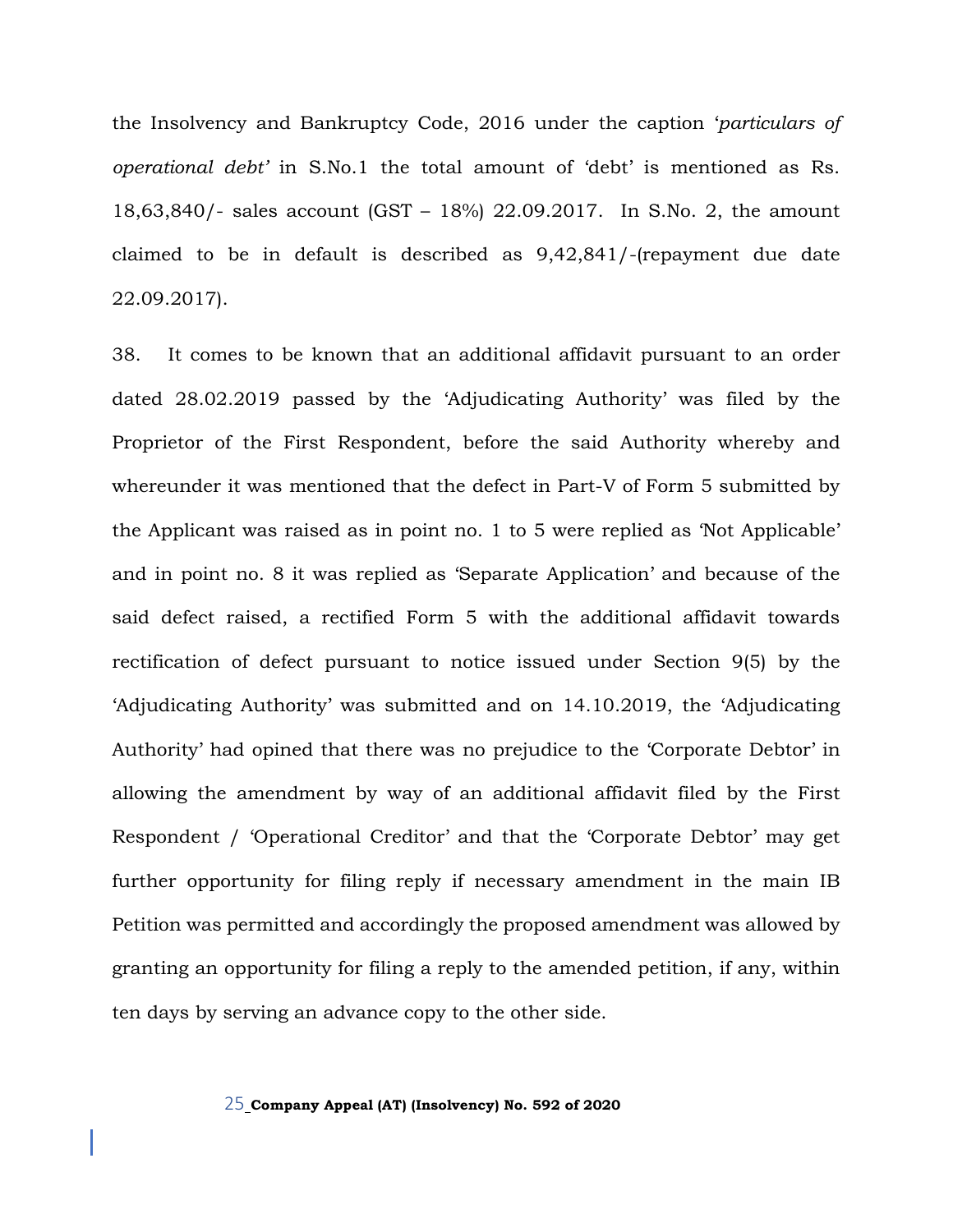the Insolvency and Bankruptcy Code, 2016 under the caption '*particulars of operational debt'* in S.No.1 the total amount of 'debt' is mentioned as Rs. 18,63,840/- sales account (GST – 18%) 22.09.2017. In S.No. 2, the amount claimed to be in default is described as 9,42,841/-(repayment due date 22.09.2017).

38. It comes to be known that an additional affidavit pursuant to an order dated 28.02.2019 passed by the 'Adjudicating Authority' was filed by the Proprietor of the First Respondent, before the said Authority whereby and whereunder it was mentioned that the defect in Part-V of Form 5 submitted by the Applicant was raised as in point no. 1 to 5 were replied as 'Not Applicable' and in point no. 8 it was replied as 'Separate Application' and because of the said defect raised, a rectified Form 5 with the additional affidavit towards rectification of defect pursuant to notice issued under Section 9(5) by the 'Adjudicating Authority' was submitted and on 14.10.2019, the 'Adjudicating Authority' had opined that there was no prejudice to the 'Corporate Debtor' in allowing the amendment by way of an additional affidavit filed by the First Respondent / 'Operational Creditor' and that the 'Corporate Debtor' may get further opportunity for filing reply if necessary amendment in the main IB Petition was permitted and accordingly the proposed amendment was allowed by granting an opportunity for filing a reply to the amended petition, if any, within ten days by serving an advance copy to the other side.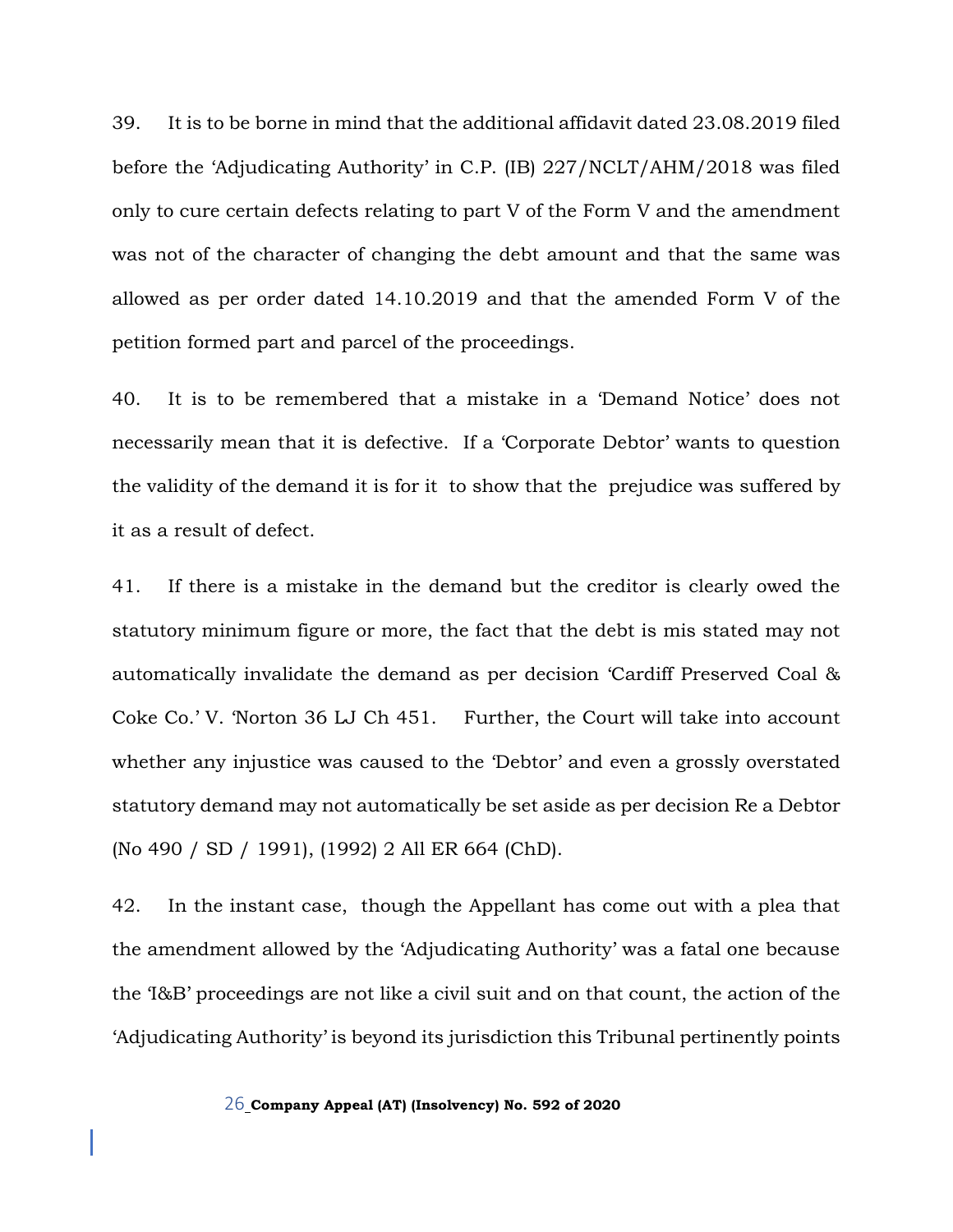39. It is to be borne in mind that the additional affidavit dated 23.08.2019 filed before the 'Adjudicating Authority' in C.P. (IB) 227/NCLT/AHM/2018 was filed only to cure certain defects relating to part V of the Form V and the amendment was not of the character of changing the debt amount and that the same was allowed as per order dated 14.10.2019 and that the amended Form V of the petition formed part and parcel of the proceedings.

40. It is to be remembered that a mistake in a 'Demand Notice' does not necessarily mean that it is defective. If a 'Corporate Debtor' wants to question the validity of the demand it is for it to show that the prejudice was suffered by it as a result of defect.

41. If there is a mistake in the demand but the creditor is clearly owed the statutory minimum figure or more, the fact that the debt is mis stated may not automatically invalidate the demand as per decision 'Cardiff Preserved Coal & Coke Co.' V. 'Norton 36 LJ Ch 451. Further, the Court will take into account whether any injustice was caused to the 'Debtor' and even a grossly overstated statutory demand may not automatically be set aside as per decision Re a Debtor (No 490 / SD / 1991), (1992) 2 All ER 664 (ChD).

42. In the instant case, though the Appellant has come out with a plea that the amendment allowed by the 'Adjudicating Authority' was a fatal one because the 'I&B' proceedings are not like a civil suit and on that count, the action of the 'Adjudicating Authority' is beyond its jurisdiction this Tribunal pertinently points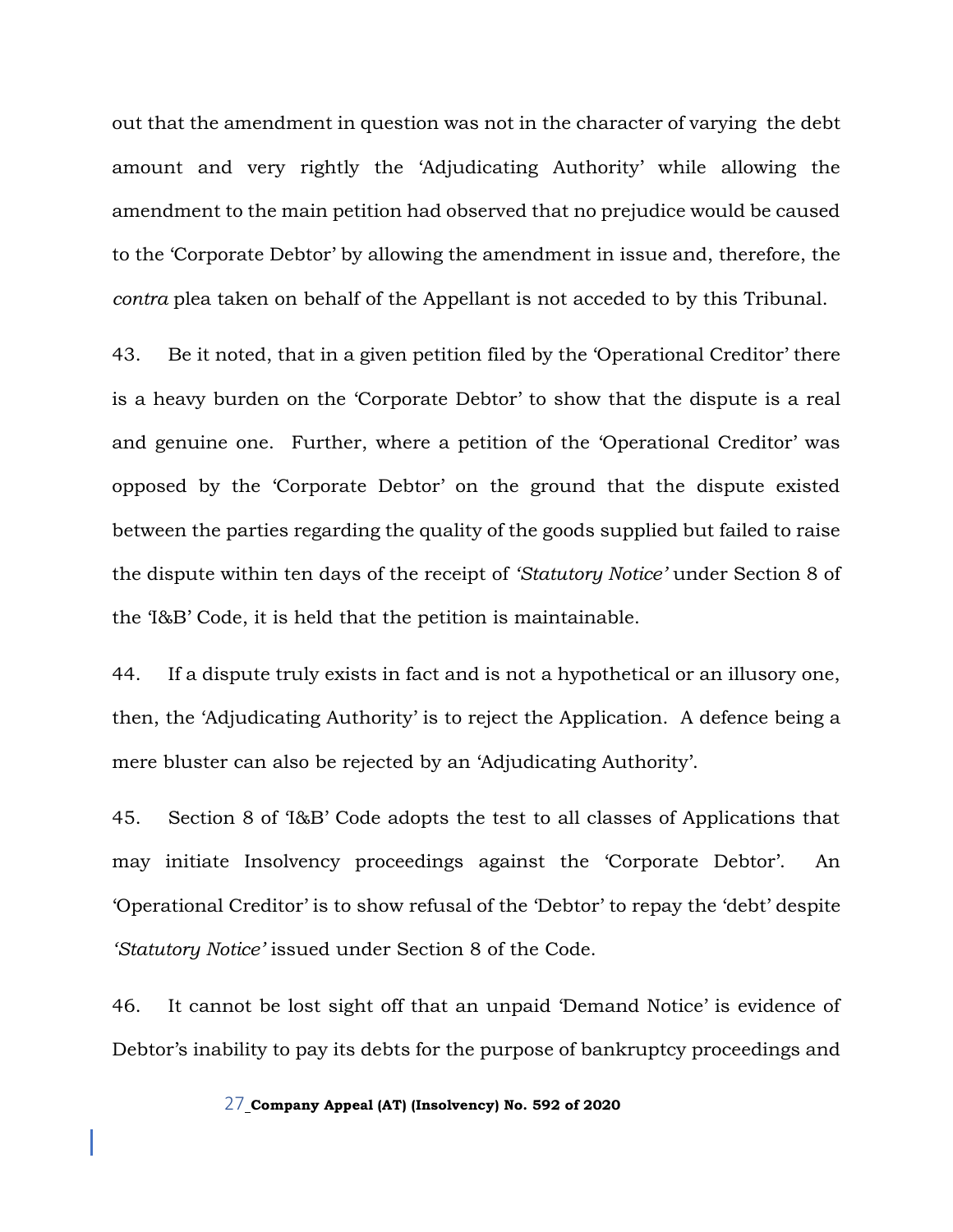out that the amendment in question was not in the character of varying the debt amount and very rightly the 'Adjudicating Authority' while allowing the amendment to the main petition had observed that no prejudice would be caused to the 'Corporate Debtor' by allowing the amendment in issue and, therefore, the *contra* plea taken on behalf of the Appellant is not acceded to by this Tribunal.

43. Be it noted, that in a given petition filed by the 'Operational Creditor' there is a heavy burden on the 'Corporate Debtor' to show that the dispute is a real and genuine one. Further, where a petition of the 'Operational Creditor' was opposed by the 'Corporate Debtor' on the ground that the dispute existed between the parties regarding the quality of the goods supplied but failed to raise the dispute within ten days of the receipt of *'Statutory Notice'* under Section 8 of the 'I&B' Code, it is held that the petition is maintainable.

44. If a dispute truly exists in fact and is not a hypothetical or an illusory one, then, the 'Adjudicating Authority' is to reject the Application. A defence being a mere bluster can also be rejected by an 'Adjudicating Authority'.

45. Section 8 of 'I&B' Code adopts the test to all classes of Applications that may initiate Insolvency proceedings against the 'Corporate Debtor'. An 'Operational Creditor' is to show refusal of the 'Debtor' to repay the 'debt' despite *'Statutory Notice'* issued under Section 8 of the Code.

46. It cannot be lost sight off that an unpaid 'Demand Notice' is evidence of Debtor's inability to pay its debts for the purpose of bankruptcy proceedings and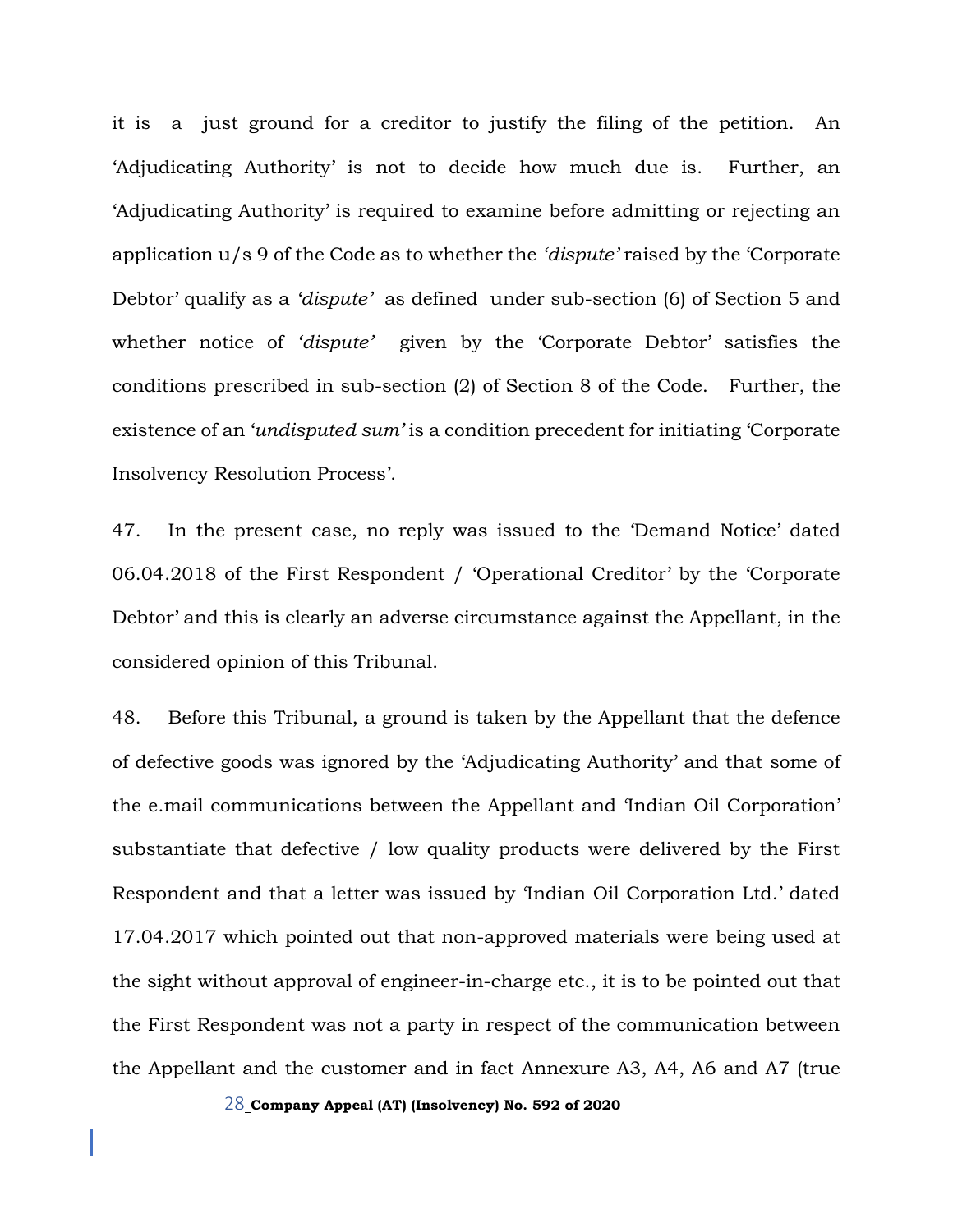it is a just ground for a creditor to justify the filing of the petition. An 'Adjudicating Authority' is not to decide how much due is. Further, an 'Adjudicating Authority' is required to examine before admitting or rejecting an application u/s 9 of the Code as to whether the *'dispute'* raised by the 'Corporate Debtor' qualify as a *'dispute'* as defined under sub-section (6) of Section 5 and whether notice of *'dispute'* given by the 'Corporate Debtor' satisfies the conditions prescribed in sub-section (2) of Section 8 of the Code. Further, the existence of an '*undisputed sum'* is a condition precedent for initiating 'Corporate Insolvency Resolution Process'.

47. In the present case, no reply was issued to the 'Demand Notice' dated 06.04.2018 of the First Respondent / 'Operational Creditor' by the 'Corporate Debtor' and this is clearly an adverse circumstance against the Appellant, in the considered opinion of this Tribunal.

48. Before this Tribunal, a ground is taken by the Appellant that the defence of defective goods was ignored by the 'Adjudicating Authority' and that some of the e.mail communications between the Appellant and 'Indian Oil Corporation' substantiate that defective / low quality products were delivered by the First Respondent and that a letter was issued by 'Indian Oil Corporation Ltd.' dated 17.04.2017 which pointed out that non-approved materials were being used at the sight without approval of engineer-in-charge etc., it is to be pointed out that the First Respondent was not a party in respect of the communication between the Appellant and the customer and in fact Annexure A3, A4, A6 and A7 (true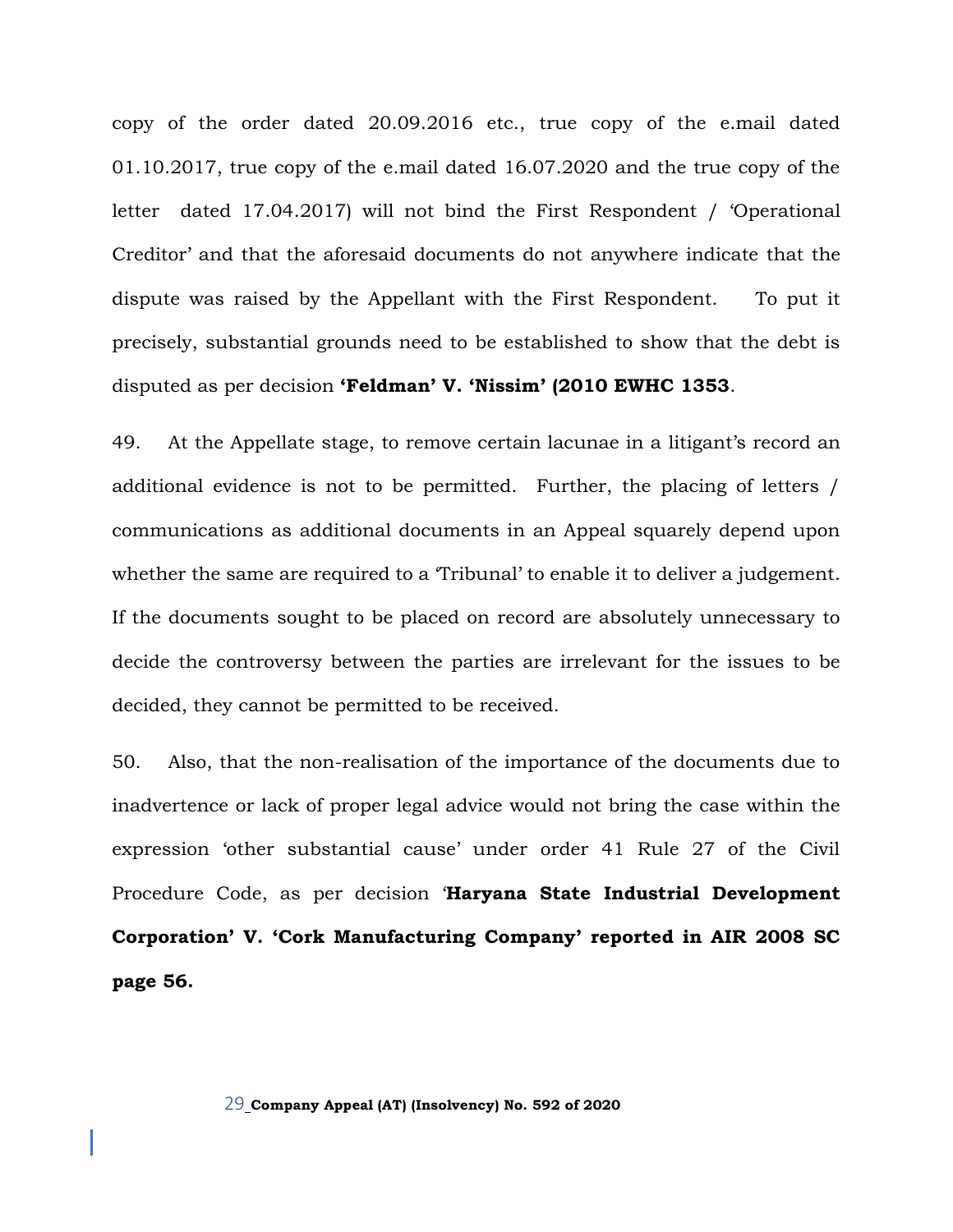copy of the order dated 20.09.2016 etc., true copy of the e.mail dated 01.10.2017, true copy of the e.mail dated 16.07.2020 and the true copy of the letter dated 17.04.2017) will not bind the First Respondent / 'Operational Creditor' and that the aforesaid documents do not anywhere indicate that the dispute was raised by the Appellant with the First Respondent. To put it precisely, substantial grounds need to be established to show that the debt is disputed as per decision **'Feldman' V. 'Nissim' (2010 EWHC 1353**.

49. At the Appellate stage, to remove certain lacunae in a litigant's record an additional evidence is not to be permitted. Further, the placing of letters / communications as additional documents in an Appeal squarely depend upon whether the same are required to a 'Tribunal' to enable it to deliver a judgement. If the documents sought to be placed on record are absolutely unnecessary to decide the controversy between the parties are irrelevant for the issues to be decided, they cannot be permitted to be received.

50. Also, that the non-realisation of the importance of the documents due to inadvertence or lack of proper legal advice would not bring the case within the expression 'other substantial cause' under order 41 Rule 27 of the Civil Procedure Code, as per decision '**Haryana State Industrial Development Corporation' V. 'Cork Manufacturing Company' reported in AIR 2008 SC page 56.**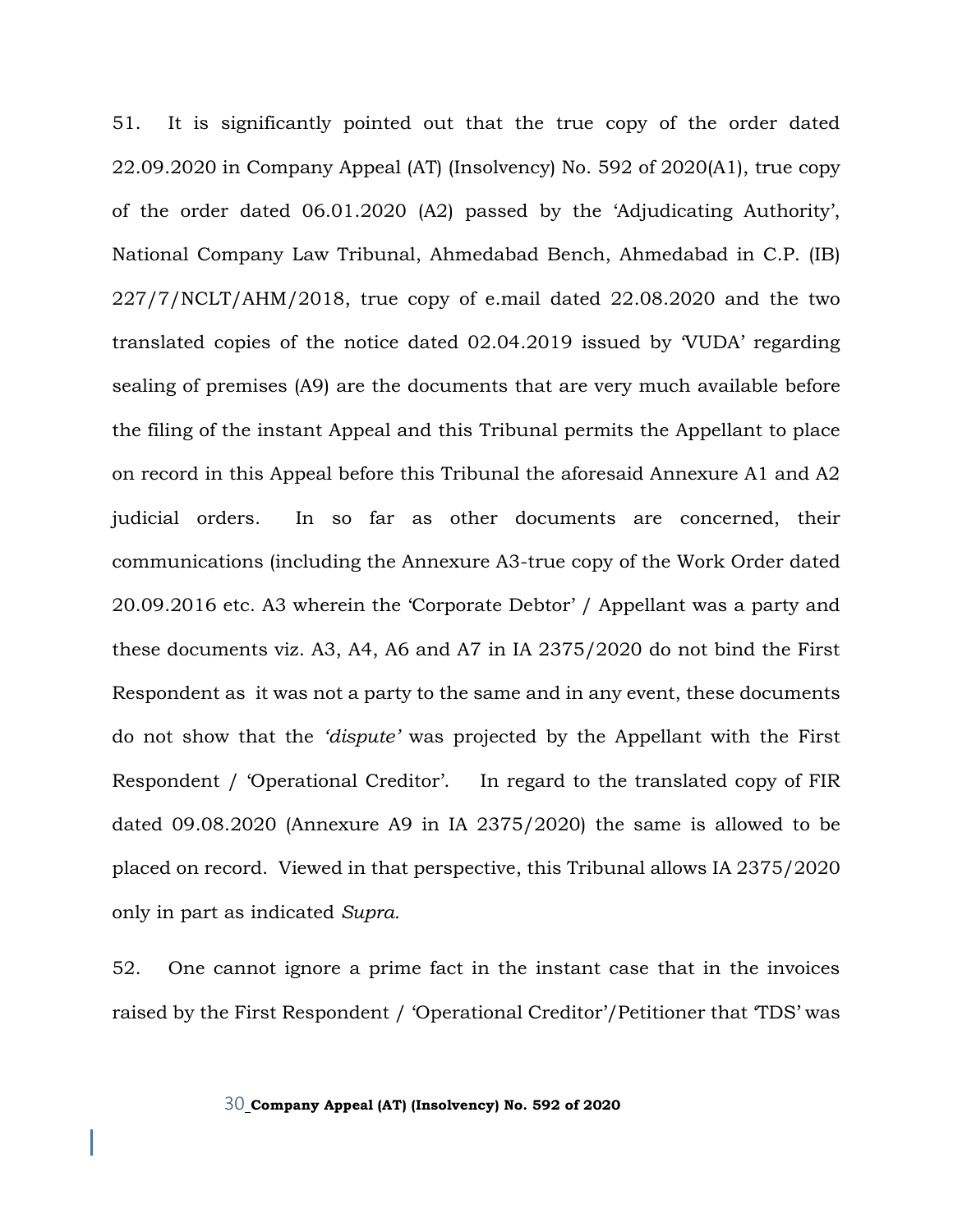51. It is significantly pointed out that the true copy of the order dated 22.09.2020 in Company Appeal (AT) (Insolvency) No. 592 of 2020(A1), true copy of the order dated 06.01.2020 (A2) passed by the 'Adjudicating Authority', National Company Law Tribunal, Ahmedabad Bench, Ahmedabad in C.P. (IB)  $227/7/NCLT/AHM/2018$ , true copy of e.mail dated  $22.08.2020$  and the two translated copies of the notice dated 02.04.2019 issued by 'VUDA' regarding sealing of premises (A9) are the documents that are very much available before the filing of the instant Appeal and this Tribunal permits the Appellant to place on record in this Appeal before this Tribunal the aforesaid Annexure A1 and A2 judicial orders. In so far as other documents are concerned, their communications (including the Annexure A3-true copy of the Work Order dated 20.09.2016 etc. A3 wherein the 'Corporate Debtor' / Appellant was a party and these documents viz. A3, A4, A6 and A7 in IA 2375/2020 do not bind the First Respondent as it was not a party to the same and in any event, these documents do not show that the *'dispute'* was projected by the Appellant with the First Respondent / 'Operational Creditor'. In regard to the translated copy of FIR dated 09.08.2020 (Annexure A9 in IA 2375/2020) the same is allowed to be placed on record. Viewed in that perspective, this Tribunal allows IA 2375/2020 only in part as indicated *Supra.*

52. One cannot ignore a prime fact in the instant case that in the invoices raised by the First Respondent / 'Operational Creditor'/Petitioner that 'TDS' was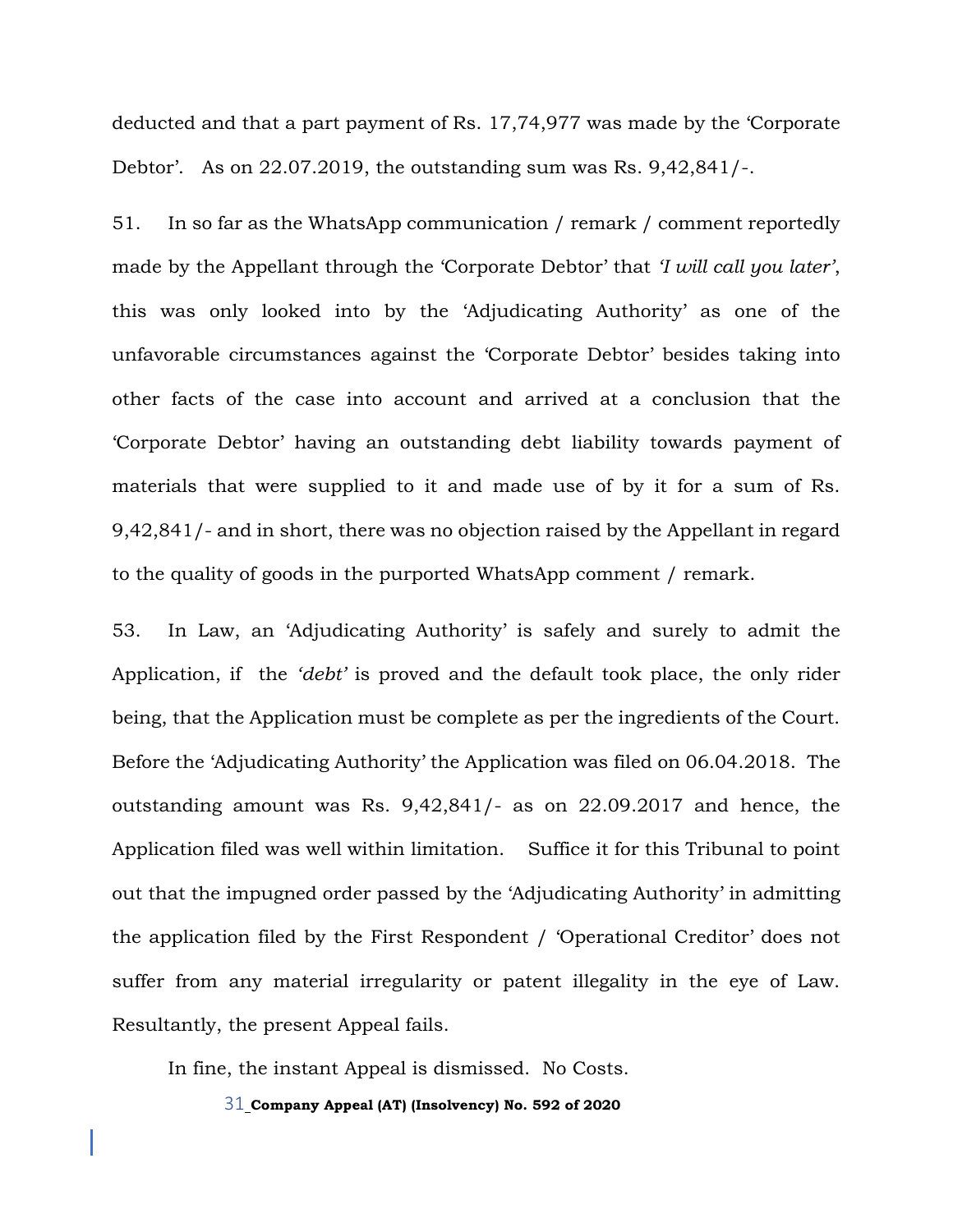deducted and that a part payment of Rs. 17,74,977 was made by the 'Corporate Debtor'. As on 22.07.2019, the outstanding sum was Rs. 9,42,841/-.

51. In so far as the WhatsApp communication / remark / comment reportedly made by the Appellant through the 'Corporate Debtor' that *'I will call you later'*, this was only looked into by the 'Adjudicating Authority' as one of the unfavorable circumstances against the 'Corporate Debtor' besides taking into other facts of the case into account and arrived at a conclusion that the 'Corporate Debtor' having an outstanding debt liability towards payment of materials that were supplied to it and made use of by it for a sum of Rs. 9,42,841/- and in short, there was no objection raised by the Appellant in regard to the quality of goods in the purported WhatsApp comment / remark.

53. In Law, an 'Adjudicating Authority' is safely and surely to admit the Application, if the *'debt'* is proved and the default took place, the only rider being, that the Application must be complete as per the ingredients of the Court. Before the 'Adjudicating Authority' the Application was filed on 06.04.2018. The outstanding amount was Rs. 9,42,841/- as on 22.09.2017 and hence, the Application filed was well within limitation. Suffice it for this Tribunal to point out that the impugned order passed by the 'Adjudicating Authority' in admitting the application filed by the First Respondent / 'Operational Creditor' does not suffer from any material irregularity or patent illegality in the eye of Law. Resultantly, the present Appeal fails.

In fine, the instant Appeal is dismissed. No Costs.